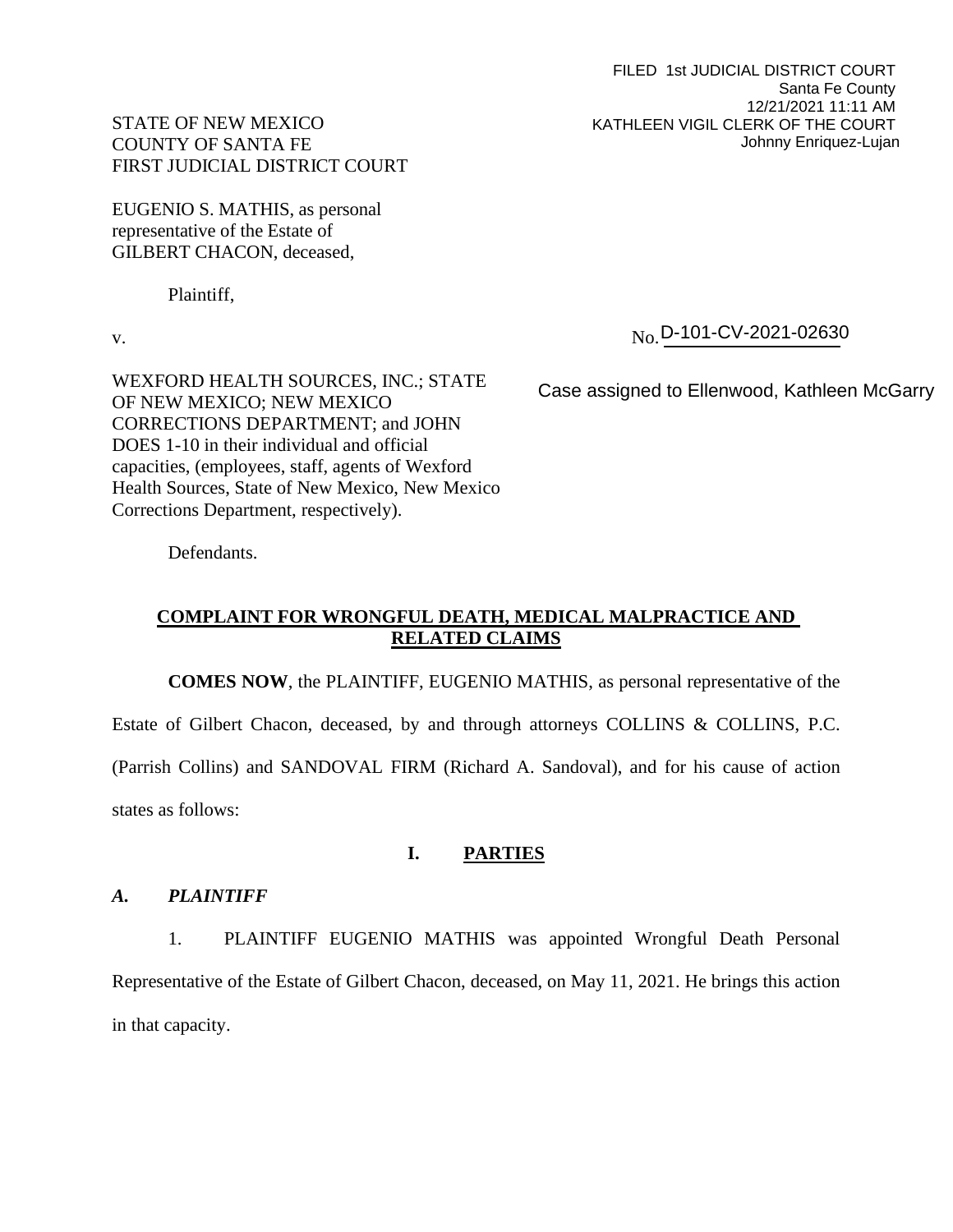FILED 1st JUDICIAL DISTRICT COURT Santa Fe County 12/21/2021 11:11 AM KATHLEEN VIGIL CLERK OF THE COURT Johnny Enriquez-Lujan

# STATE OF NEW MEXICO COUNTY OF SANTA FE FIRST JUDICIAL DISTRICT COURT

EUGENIO S. MATHIS, as personal representative of the Estate of GILBERT CHACON, deceased,

Plaintiff,

WEXFORD HEALTH SOURCES, INC.; STATE OF NEW MEXICO; NEW MEXICO CORRECTIONS DEPARTMENT; and JOHN DOES 1-10 in their individual and official capacities, (employees, staff, agents of Wexford Health Sources, State of New Mexico, New Mexico Corrections Department, respectively).

v.  $\delta N_{\rm O}$ . No D-101-CV-2021-02630

Case assigned to Ellenwood, Kathleen McGarry

Defendants.

# **COMPLAINT FOR WRONGFUL DEATH, MEDICAL MALPRACTICE AND RELATED CLAIMS**

**COMES NOW**, the PLAINTIFF, EUGENIO MATHIS, as personal representative of the

Estate of Gilbert Chacon, deceased, by and through attorneys COLLINS & COLLINS, P.C.

(Parrish Collins) and SANDOVAL FIRM (Richard A. Sandoval), and for his cause of action states as follows:

## **I. PARTIES**

## *A. PLAINTIFF*

1. PLAINTIFF EUGENIO MATHIS was appointed Wrongful Death Personal Representative of the Estate of Gilbert Chacon, deceased, on May 11, 2021. He brings this action in that capacity.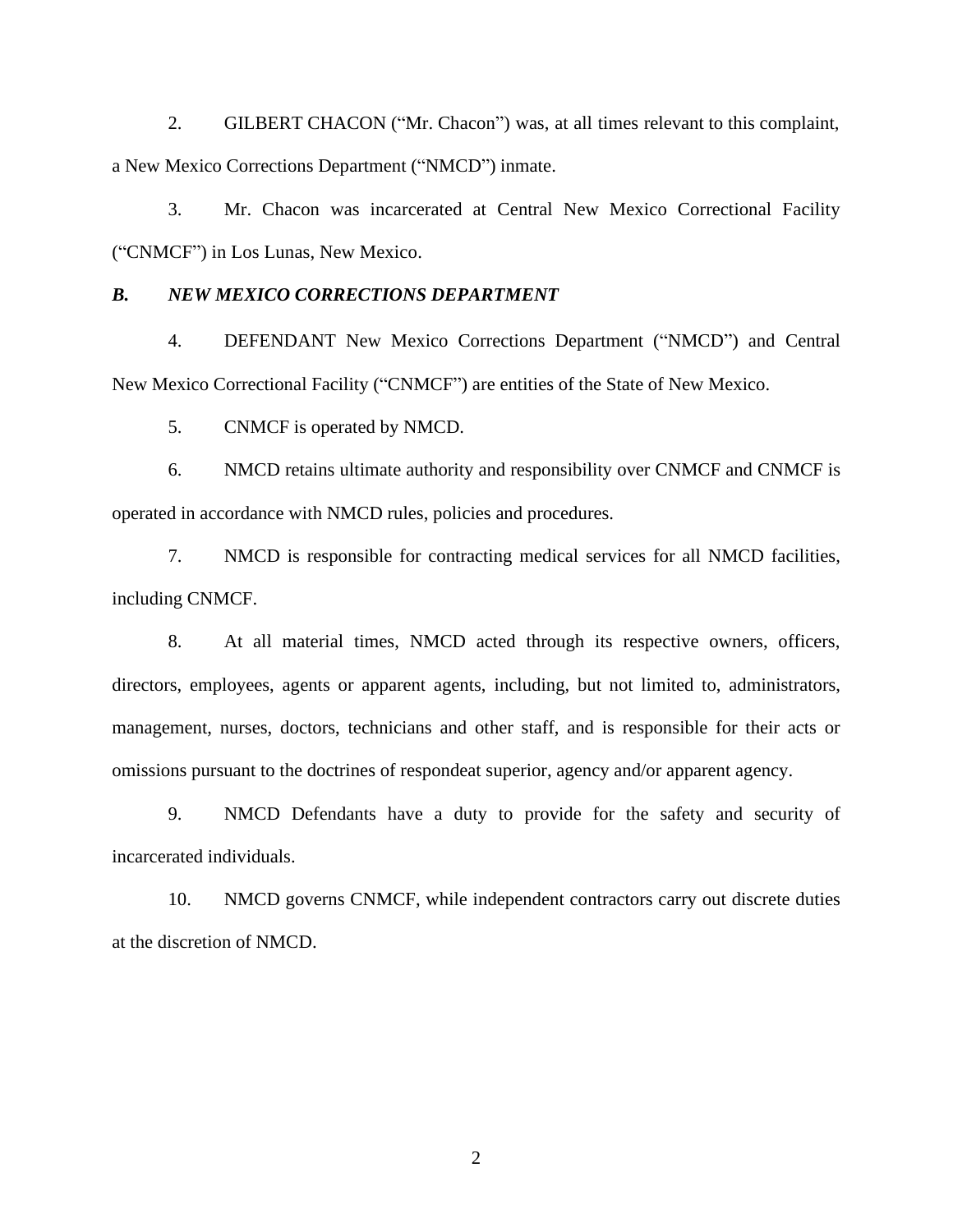2. GILBERT CHACON ("Mr. Chacon") was, at all times relevant to this complaint, a New Mexico Corrections Department ("NMCD") inmate.

3. Mr. Chacon was incarcerated at Central New Mexico Correctional Facility ("CNMCF") in Los Lunas, New Mexico.

## *B. NEW MEXICO CORRECTIONS DEPARTMENT*

4. DEFENDANT New Mexico Corrections Department ("NMCD") and Central New Mexico Correctional Facility ("CNMCF") are entities of the State of New Mexico.

5. CNMCF is operated by NMCD.

6. NMCD retains ultimate authority and responsibility over CNMCF and CNMCF is operated in accordance with NMCD rules, policies and procedures.

7. NMCD is responsible for contracting medical services for all NMCD facilities, including CNMCF.

8. At all material times, NMCD acted through its respective owners, officers, directors, employees, agents or apparent agents, including, but not limited to, administrators, management, nurses, doctors, technicians and other staff, and is responsible for their acts or omissions pursuant to the doctrines of respondeat superior, agency and/or apparent agency.

9. NMCD Defendants have a duty to provide for the safety and security of incarcerated individuals.

10. NMCD governs CNMCF, while independent contractors carry out discrete duties at the discretion of NMCD.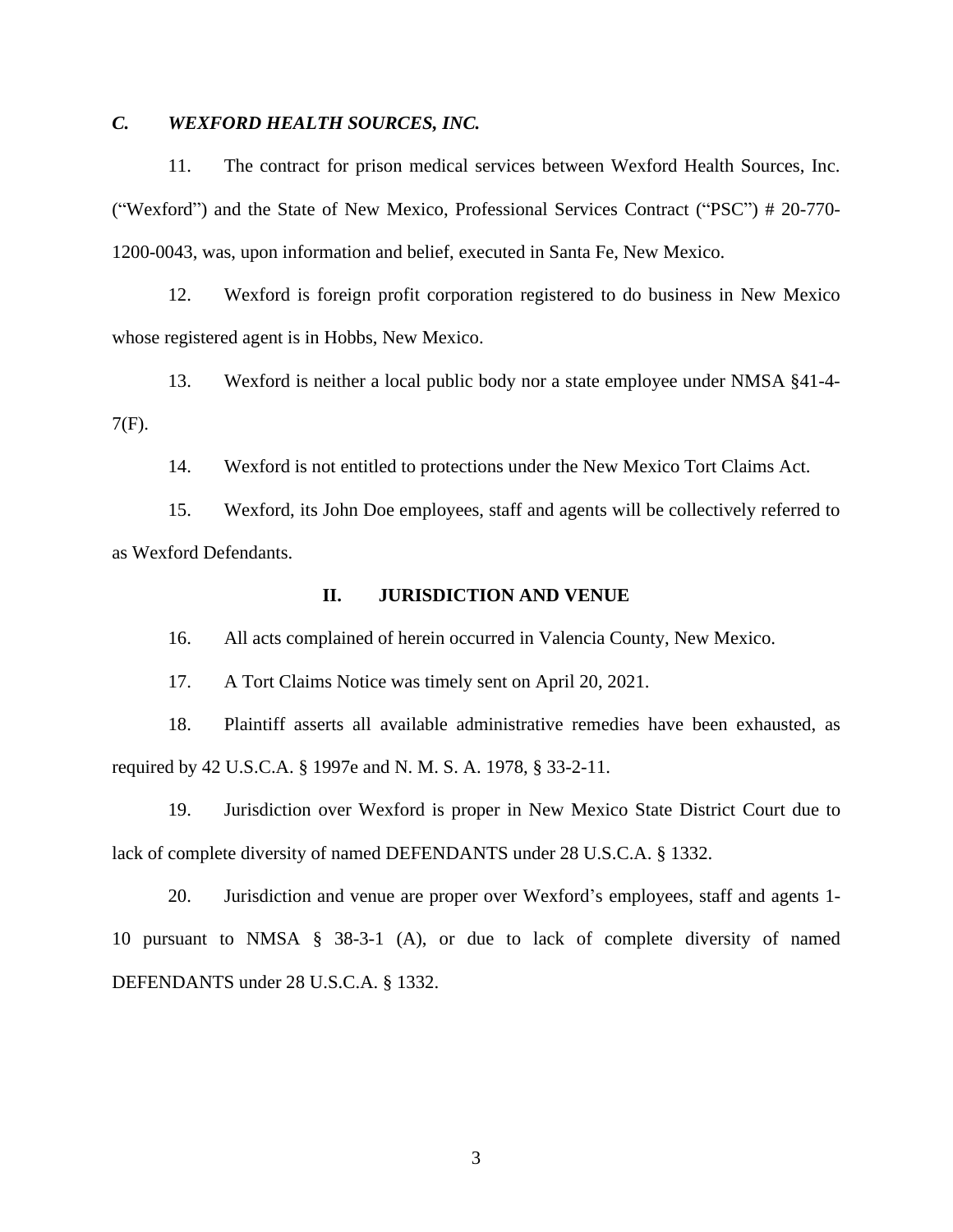# *C. WEXFORD HEALTH SOURCES, INC.*

11. The contract for prison medical services between Wexford Health Sources, Inc. ("Wexford") and the State of New Mexico, Professional Services Contract ("PSC") # 20-770- 1200-0043, was, upon information and belief, executed in Santa Fe, New Mexico.

12. Wexford is foreign profit corporation registered to do business in New Mexico whose registered agent is in Hobbs, New Mexico.

13. Wexford is neither a local public body nor a state employee under NMSA §41-4- 7(F).

14. Wexford is not entitled to protections under the New Mexico Tort Claims Act.

15. Wexford, its John Doe employees, staff and agents will be collectively referred to as Wexford Defendants.

#### **II. JURISDICTION AND VENUE**

16. All acts complained of herein occurred in Valencia County, New Mexico.

17. A Tort Claims Notice was timely sent on April 20, 2021.

18. Plaintiff asserts all available administrative remedies have been exhausted, as required by 42 U.S.C.A. § 1997e and N. M. S. A. 1978, § 33-2-11.

19. Jurisdiction over Wexford is proper in New Mexico State District Court due to lack of complete diversity of named DEFENDANTS under 28 U.S.C.A. § 1332.

20. Jurisdiction and venue are proper over Wexford's employees, staff and agents 1- 10 pursuant to NMSA § 38-3-1 (A), or due to lack of complete diversity of named DEFENDANTS under 28 U.S.C.A. § 1332.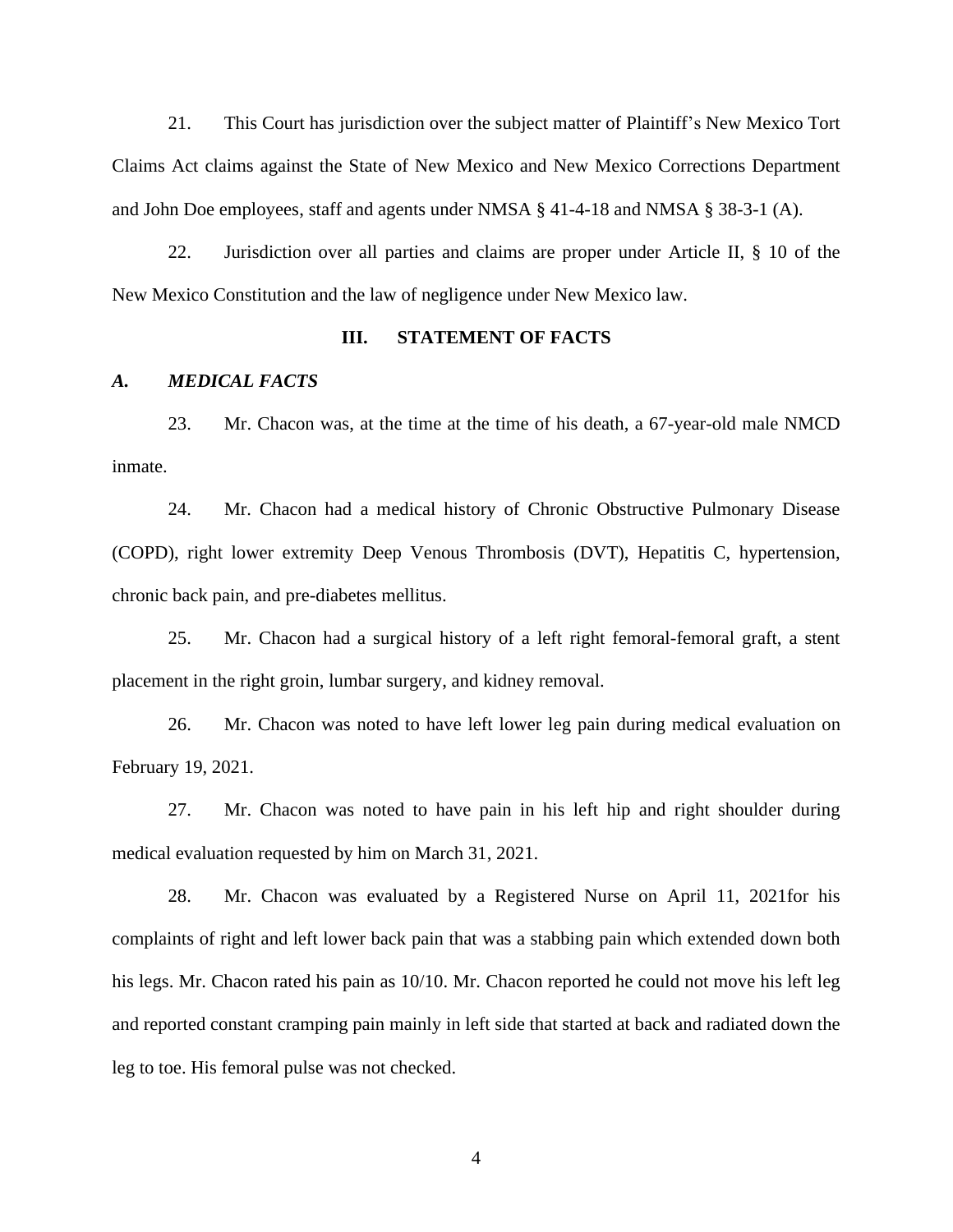21. This Court has jurisdiction over the subject matter of Plaintiff's New Mexico Tort Claims Act claims against the State of New Mexico and New Mexico Corrections Department and John Doe employees, staff and agents under NMSA § 41-4-18 and NMSA § 38-3-1 (A).

22. Jurisdiction over all parties and claims are proper under Article II, § 10 of the New Mexico Constitution and the law of negligence under New Mexico law.

#### **III. STATEMENT OF FACTS**

#### *A. MEDICAL FACTS*

23. Mr. Chacon was, at the time at the time of his death, a 67-year-old male NMCD inmate.

24. Mr. Chacon had a medical history of Chronic Obstructive Pulmonary Disease (COPD), right lower extremity Deep Venous Thrombosis (DVT), Hepatitis C, hypertension, chronic back pain, and pre-diabetes mellitus.

25. Mr. Chacon had a surgical history of a left right femoral-femoral graft, a stent placement in the right groin, lumbar surgery, and kidney removal.

26. Mr. Chacon was noted to have left lower leg pain during medical evaluation on February 19, 2021.

27. Mr. Chacon was noted to have pain in his left hip and right shoulder during medical evaluation requested by him on March 31, 2021.

28. Mr. Chacon was evaluated by a Registered Nurse on April 11, 2021for his complaints of right and left lower back pain that was a stabbing pain which extended down both his legs. Mr. Chacon rated his pain as 10/10. Mr. Chacon reported he could not move his left leg and reported constant cramping pain mainly in left side that started at back and radiated down the leg to toe. His femoral pulse was not checked.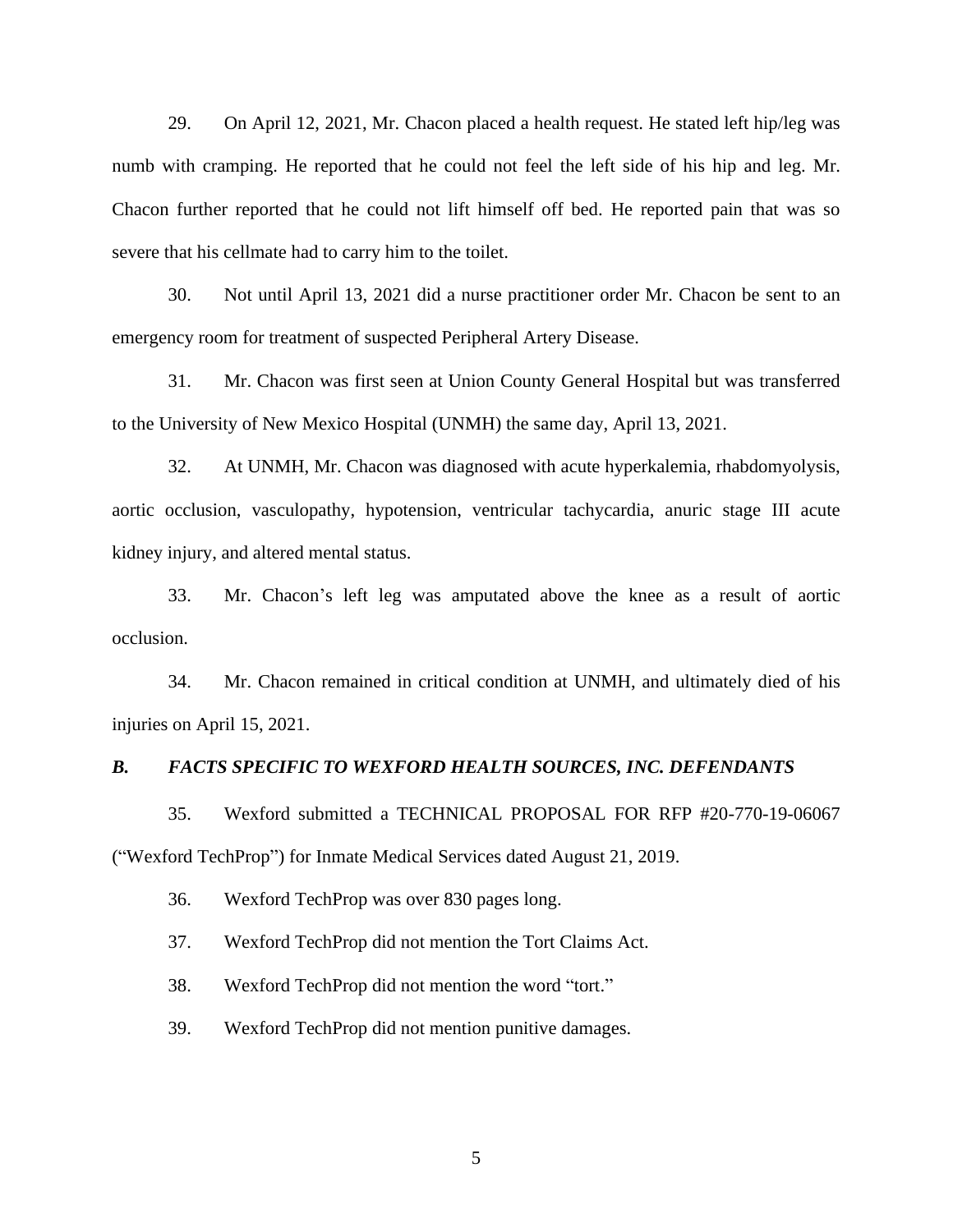29. On April 12, 2021, Mr. Chacon placed a health request. He stated left hip/leg was numb with cramping. He reported that he could not feel the left side of his hip and leg. Mr. Chacon further reported that he could not lift himself off bed. He reported pain that was so severe that his cellmate had to carry him to the toilet.

30. Not until April 13, 2021 did a nurse practitioner order Mr. Chacon be sent to an emergency room for treatment of suspected Peripheral Artery Disease.

31. Mr. Chacon was first seen at Union County General Hospital but was transferred to the University of New Mexico Hospital (UNMH) the same day, April 13, 2021.

32. At UNMH, Mr. Chacon was diagnosed with acute hyperkalemia, rhabdomyolysis, aortic occlusion, vasculopathy, hypotension, ventricular tachycardia, anuric stage III acute kidney injury, and altered mental status.

33. Mr. Chacon's left leg was amputated above the knee as a result of aortic occlusion.

34. Mr. Chacon remained in critical condition at UNMH, and ultimately died of his injuries on April 15, 2021.

#### *B. FACTS SPECIFIC TO WEXFORD HEALTH SOURCES, INC. DEFENDANTS*

35. Wexford submitted a TECHNICAL PROPOSAL FOR RFP #20-770-19-06067 ("Wexford TechProp") for Inmate Medical Services dated August 21, 2019.

36. Wexford TechProp was over 830 pages long.

37. Wexford TechProp did not mention the Tort Claims Act.

38. Wexford TechProp did not mention the word "tort."

39. Wexford TechProp did not mention punitive damages.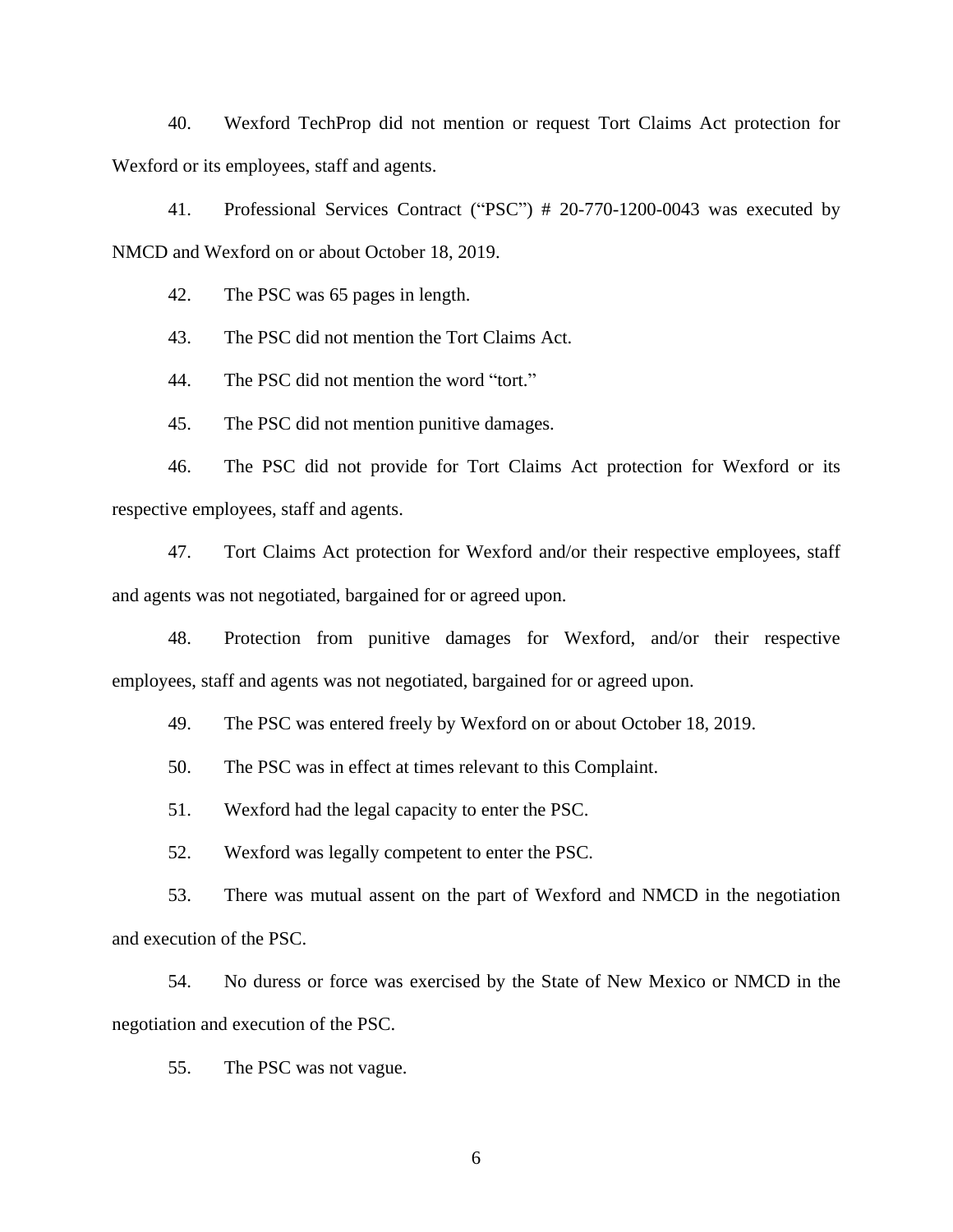40. Wexford TechProp did not mention or request Tort Claims Act protection for Wexford or its employees, staff and agents.

41. Professional Services Contract ("PSC") # 20-770-1200-0043 was executed by NMCD and Wexford on or about October 18, 2019.

42. The PSC was 65 pages in length.

43. The PSC did not mention the Tort Claims Act.

44. The PSC did not mention the word "tort."

45. The PSC did not mention punitive damages.

46. The PSC did not provide for Tort Claims Act protection for Wexford or its respective employees, staff and agents.

47. Tort Claims Act protection for Wexford and/or their respective employees, staff and agents was not negotiated, bargained for or agreed upon.

48. Protection from punitive damages for Wexford, and/or their respective employees, staff and agents was not negotiated, bargained for or agreed upon.

49. The PSC was entered freely by Wexford on or about October 18, 2019.

50. The PSC was in effect at times relevant to this Complaint.

51. Wexford had the legal capacity to enter the PSC.

52. Wexford was legally competent to enter the PSC.

53. There was mutual assent on the part of Wexford and NMCD in the negotiation and execution of the PSC.

54. No duress or force was exercised by the State of New Mexico or NMCD in the negotiation and execution of the PSC.

55. The PSC was not vague.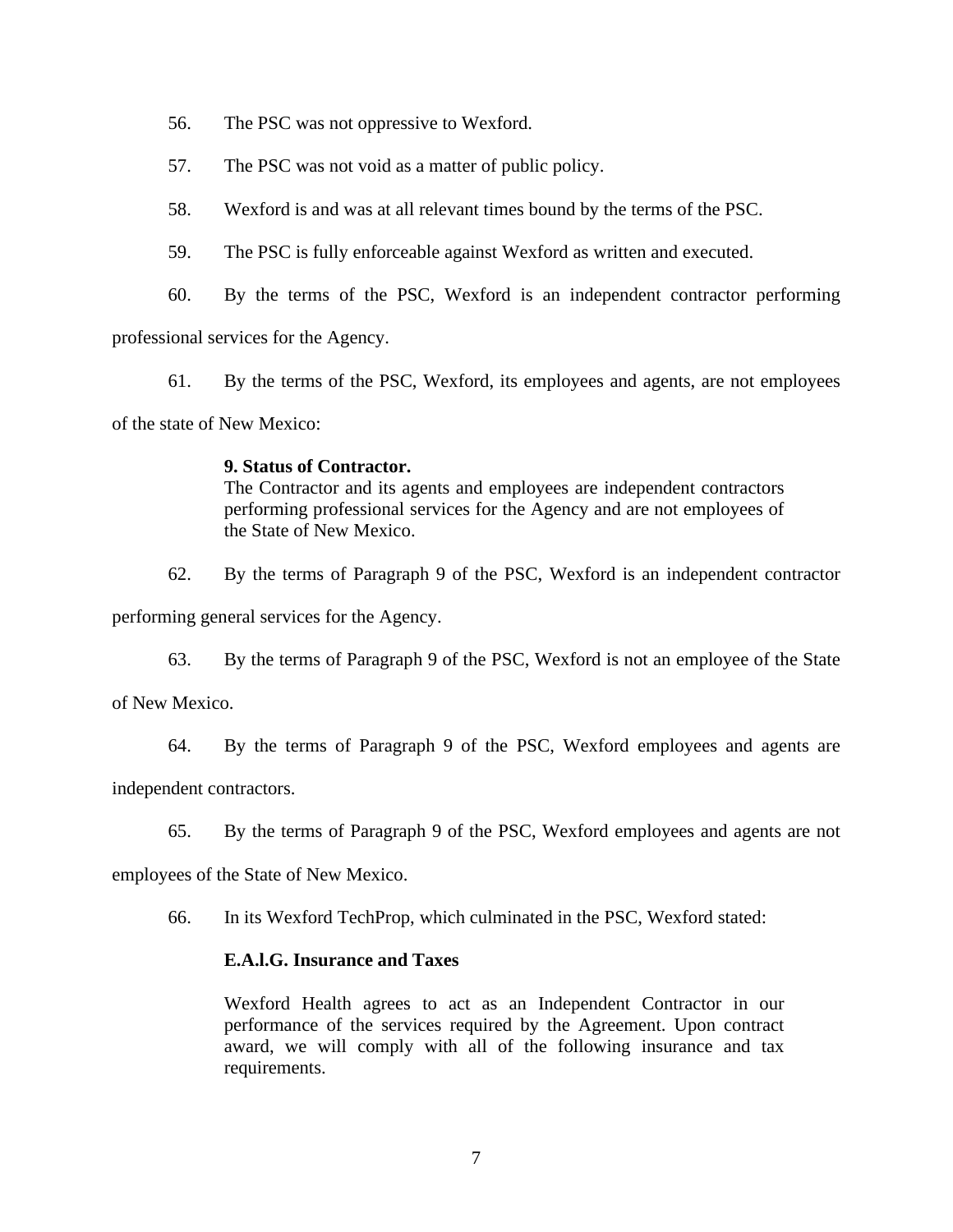- 56. The PSC was not oppressive to Wexford.
- 57. The PSC was not void as a matter of public policy.
- 58. Wexford is and was at all relevant times bound by the terms of the PSC.
- 59. The PSC is fully enforceable against Wexford as written and executed.
- 60. By the terms of the PSC, Wexford is an independent contractor performing

professional services for the Agency.

61. By the terms of the PSC, Wexford, its employees and agents, are not employees

of the state of New Mexico:

## **9. Status of Contractor.**

The Contractor and its agents and employees are independent contractors performing professional services for the Agency and are not employees of the State of New Mexico.

62. By the terms of Paragraph 9 of the PSC, Wexford is an independent contractor

performing general services for the Agency.

63. By the terms of Paragraph 9 of the PSC, Wexford is not an employee of the State

of New Mexico.

64. By the terms of Paragraph 9 of the PSC, Wexford employees and agents are

independent contractors.

65. By the terms of Paragraph 9 of the PSC, Wexford employees and agents are not

employees of the State of New Mexico.

66. In its Wexford TechProp, which culminated in the PSC, Wexford stated:

## **E.A.l.G. Insurance and Taxes**

Wexford Health agrees to act as an Independent Contractor in our performance of the services required by the Agreement. Upon contract award, we will comply with all of the following insurance and tax requirements.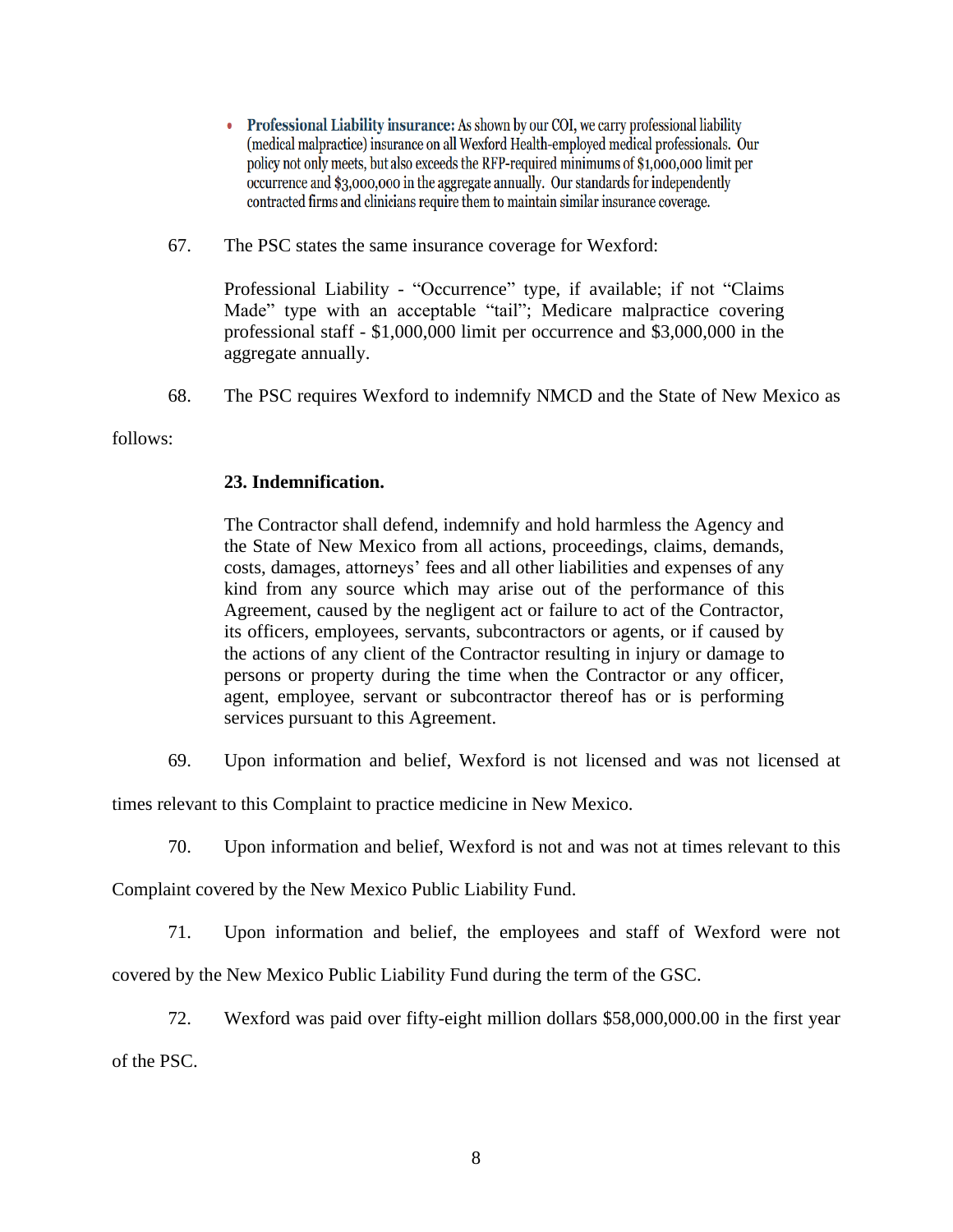- Professional Liability insurance: As shown by our COI, we carry professional liability (medical malpractice) insurance on all Wexford Health-employed medical professionals. Our policy not only meets, but also exceeds the RFP-required minimums of \$1,000,000 limit per occurrence and \$3,000,000 in the aggregate annually. Our standards for independently contracted firms and clinicians require them to maintain similar insurance coverage.
- 67. The PSC states the same insurance coverage for Wexford:

Professional Liability - "Occurrence" type, if available; if not "Claims Made" type with an acceptable "tail"; Medicare malpractice covering professional staff - \$1,000,000 limit per occurrence and \$3,000,000 in the aggregate annually.

68. The PSC requires Wexford to indemnify NMCD and the State of New Mexico as

follows:

# **23. Indemnification.**

The Contractor shall defend, indemnify and hold harmless the Agency and the State of New Mexico from all actions, proceedings, claims, demands, costs, damages, attorneys' fees and all other liabilities and expenses of any kind from any source which may arise out of the performance of this Agreement, caused by the negligent act or failure to act of the Contractor, its officers, employees, servants, subcontractors or agents, or if caused by the actions of any client of the Contractor resulting in injury or damage to persons or property during the time when the Contractor or any officer, agent, employee, servant or subcontractor thereof has or is performing services pursuant to this Agreement.

69. Upon information and belief, Wexford is not licensed and was not licensed at

times relevant to this Complaint to practice medicine in New Mexico.

70. Upon information and belief, Wexford is not and was not at times relevant to this

Complaint covered by the New Mexico Public Liability Fund.

71. Upon information and belief, the employees and staff of Wexford were not

covered by the New Mexico Public Liability Fund during the term of the GSC.

72. Wexford was paid over fifty-eight million dollars \$58,000,000.00 in the first year

of the PSC.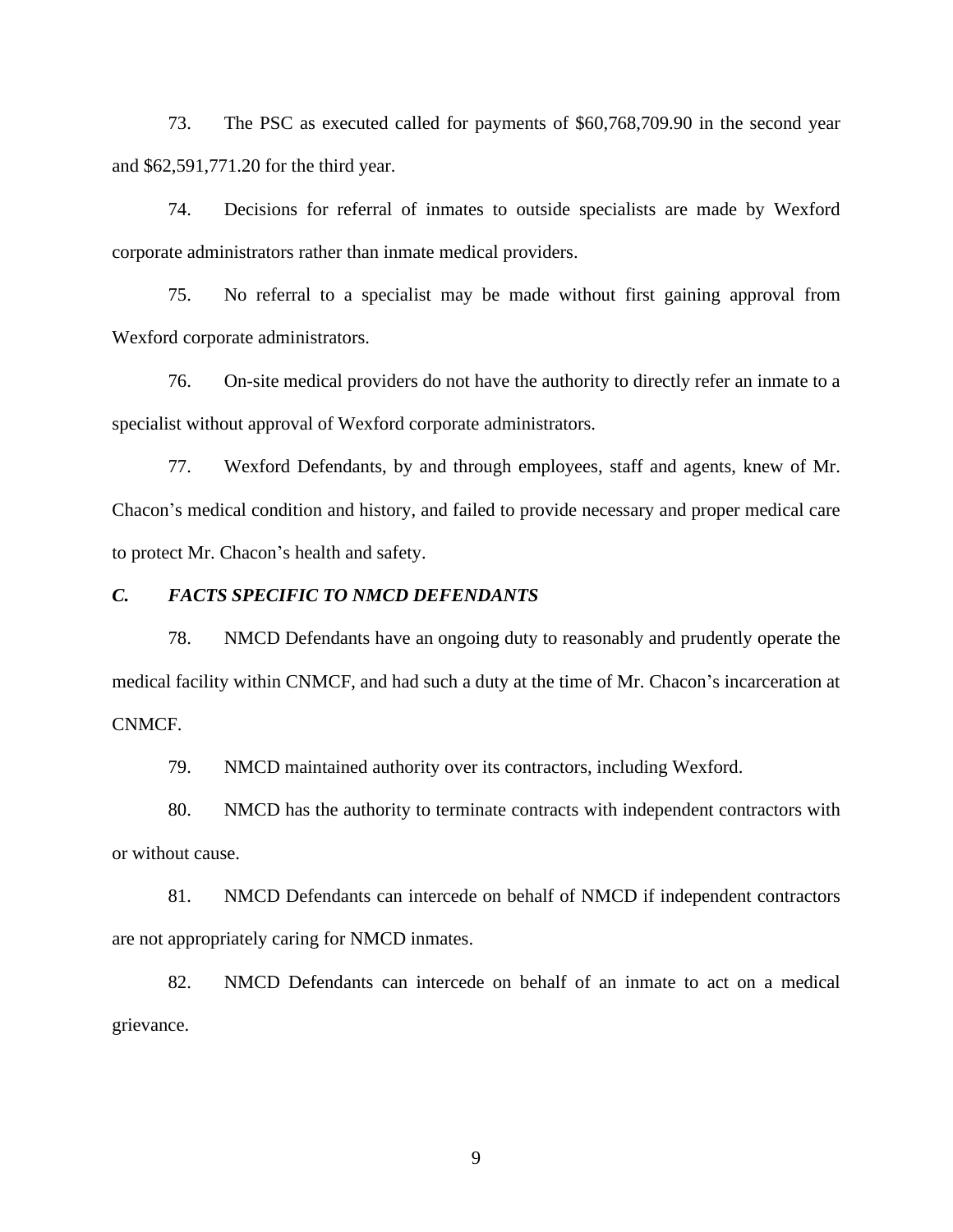73. The PSC as executed called for payments of \$60,768,709.90 in the second year and \$62,591,771.20 for the third year.

74. Decisions for referral of inmates to outside specialists are made by Wexford corporate administrators rather than inmate medical providers.

75. No referral to a specialist may be made without first gaining approval from Wexford corporate administrators.

76. On-site medical providers do not have the authority to directly refer an inmate to a specialist without approval of Wexford corporate administrators.

77. Wexford Defendants, by and through employees, staff and agents, knew of Mr. Chacon's medical condition and history, and failed to provide necessary and proper medical care to protect Mr. Chacon's health and safety.

#### *C. FACTS SPECIFIC TO NMCD DEFENDANTS*

78. NMCD Defendants have an ongoing duty to reasonably and prudently operate the medical facility within CNMCF, and had such a duty at the time of Mr. Chacon's incarceration at CNMCF.

79. NMCD maintained authority over its contractors, including Wexford.

80. NMCD has the authority to terminate contracts with independent contractors with or without cause.

81. NMCD Defendants can intercede on behalf of NMCD if independent contractors are not appropriately caring for NMCD inmates.

82. NMCD Defendants can intercede on behalf of an inmate to act on a medical grievance.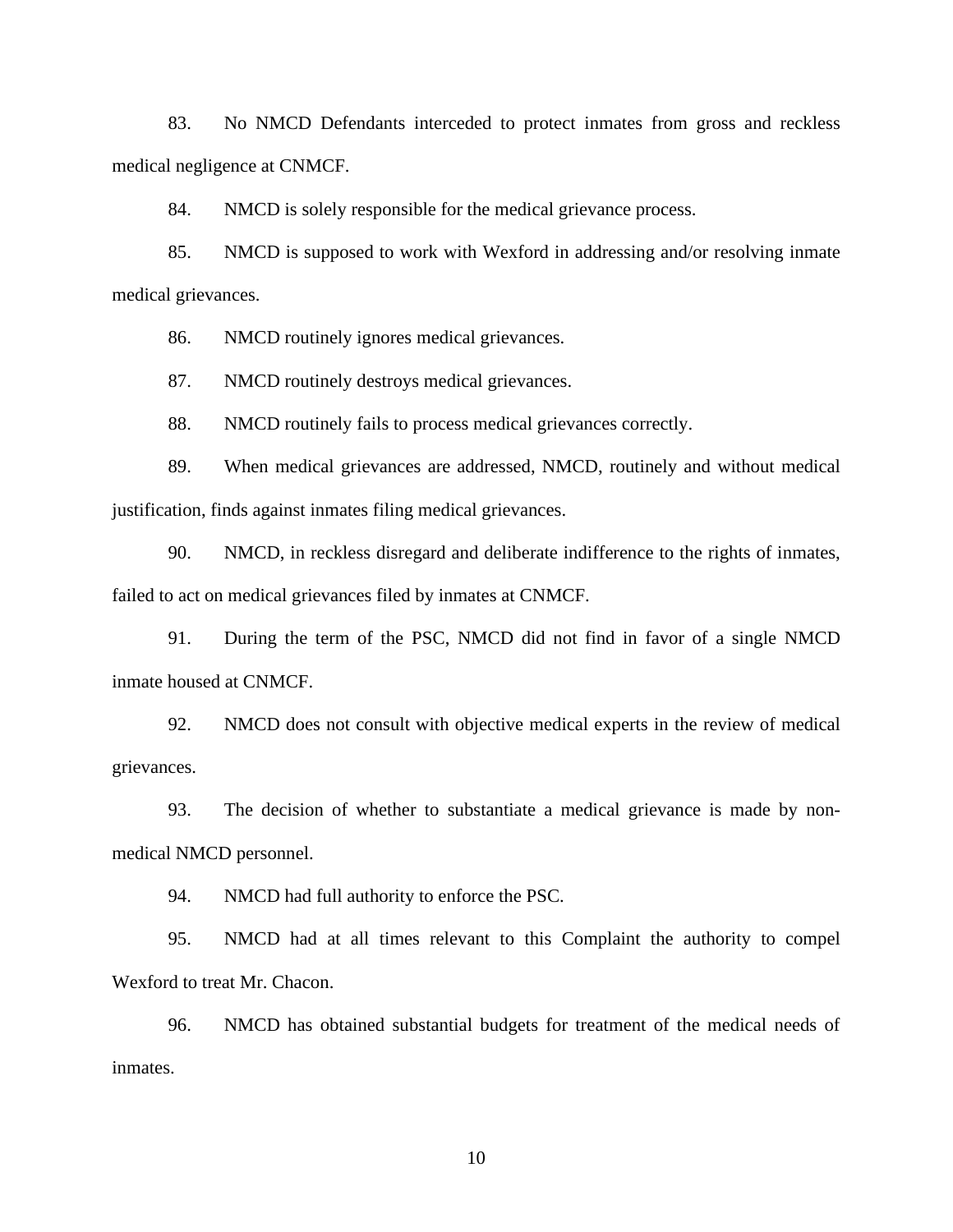83. No NMCD Defendants interceded to protect inmates from gross and reckless medical negligence at CNMCF.

84. NMCD is solely responsible for the medical grievance process.

85. NMCD is supposed to work with Wexford in addressing and/or resolving inmate medical grievances.

86. NMCD routinely ignores medical grievances.

87. NMCD routinely destroys medical grievances.

88. NMCD routinely fails to process medical grievances correctly.

89. When medical grievances are addressed, NMCD, routinely and without medical justification, finds against inmates filing medical grievances.

90. NMCD, in reckless disregard and deliberate indifference to the rights of inmates, failed to act on medical grievances filed by inmates at CNMCF.

91. During the term of the PSC, NMCD did not find in favor of a single NMCD inmate housed at CNMCF.

92. NMCD does not consult with objective medical experts in the review of medical grievances.

93. The decision of whether to substantiate a medical grievance is made by nonmedical NMCD personnel.

94. NMCD had full authority to enforce the PSC.

95. NMCD had at all times relevant to this Complaint the authority to compel Wexford to treat Mr. Chacon.

96. NMCD has obtained substantial budgets for treatment of the medical needs of inmates.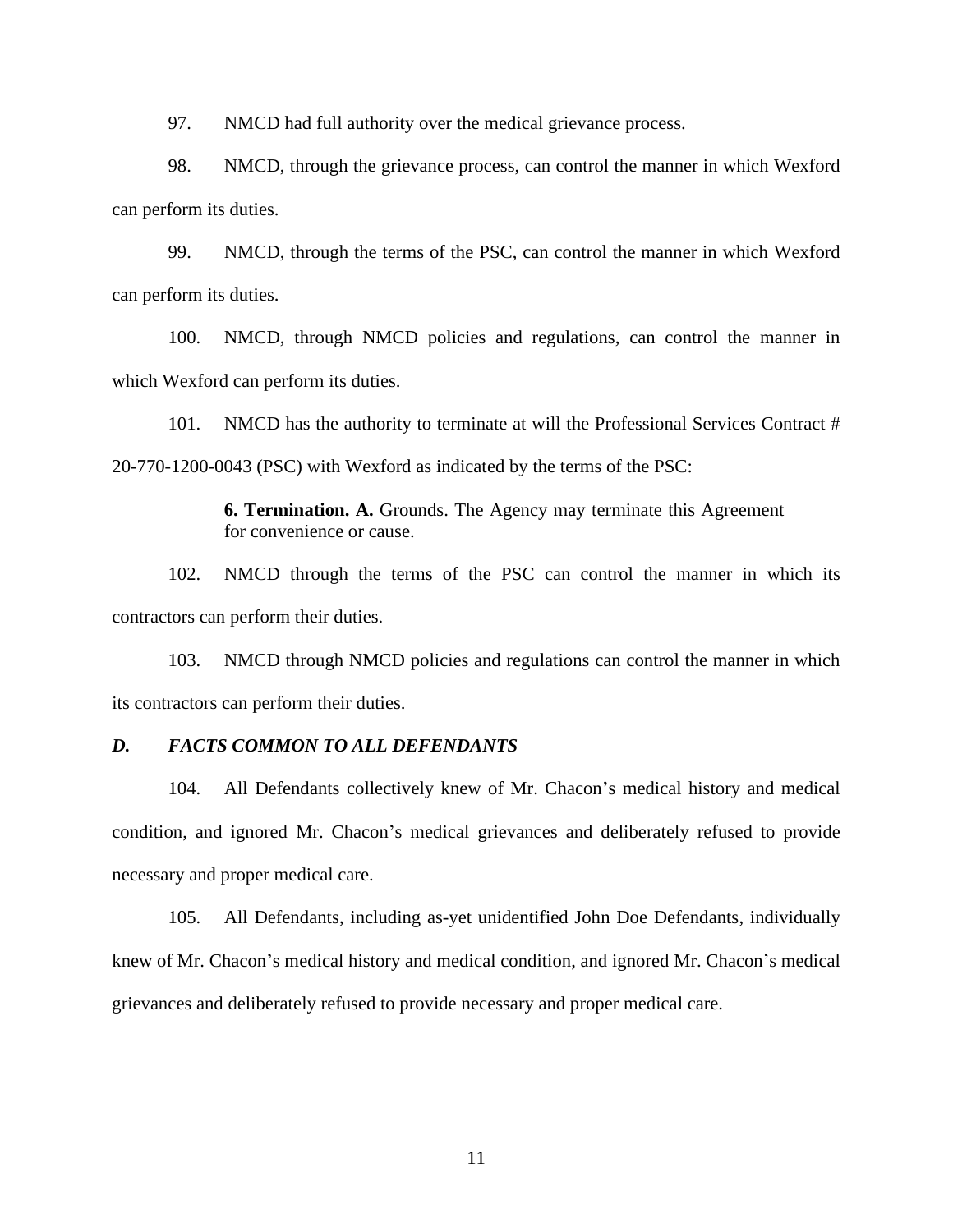97. NMCD had full authority over the medical grievance process.

98. NMCD, through the grievance process, can control the manner in which Wexford can perform its duties.

99. NMCD, through the terms of the PSC, can control the manner in which Wexford can perform its duties.

100. NMCD, through NMCD policies and regulations, can control the manner in which Wexford can perform its duties.

101. NMCD has the authority to terminate at will the Professional Services Contract # 20-770-1200-0043 (PSC) with Wexford as indicated by the terms of the PSC:

> **6. Termination. A.** Grounds. The Agency may terminate this Agreement for convenience or cause.

102. NMCD through the terms of the PSC can control the manner in which its contractors can perform their duties.

103. NMCD through NMCD policies and regulations can control the manner in which its contractors can perform their duties.

#### *D. FACTS COMMON TO ALL DEFENDANTS*

104. All Defendants collectively knew of Mr. Chacon's medical history and medical condition, and ignored Mr. Chacon's medical grievances and deliberately refused to provide necessary and proper medical care.

105. All Defendants, including as-yet unidentified John Doe Defendants, individually knew of Mr. Chacon's medical history and medical condition, and ignored Mr. Chacon's medical grievances and deliberately refused to provide necessary and proper medical care.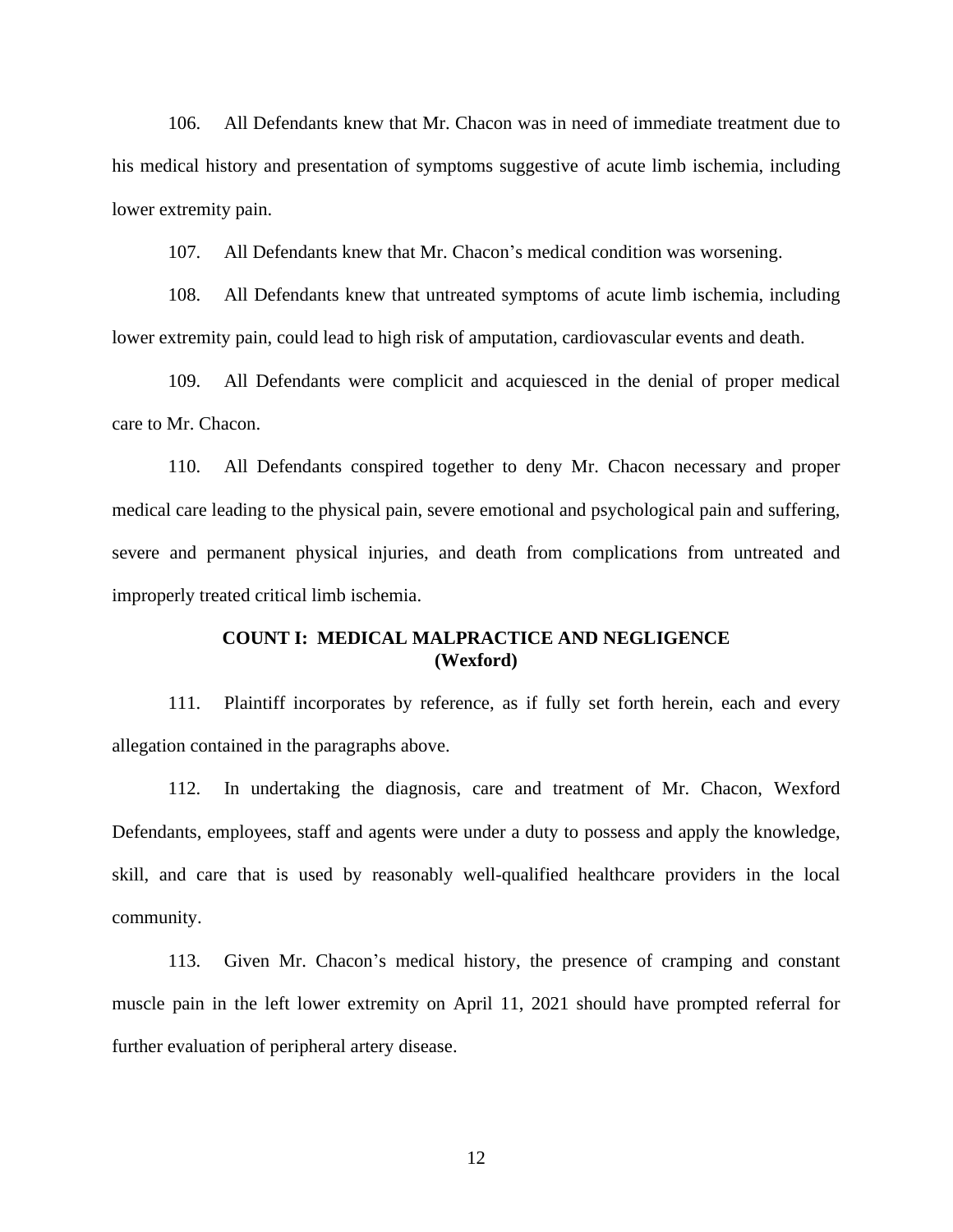106. All Defendants knew that Mr. Chacon was in need of immediate treatment due to his medical history and presentation of symptoms suggestive of acute limb ischemia, including lower extremity pain.

107. All Defendants knew that Mr. Chacon's medical condition was worsening.

108. All Defendants knew that untreated symptoms of acute limb ischemia, including lower extremity pain, could lead to high risk of amputation, cardiovascular events and death.

109. All Defendants were complicit and acquiesced in the denial of proper medical care to Mr. Chacon.

110. All Defendants conspired together to deny Mr. Chacon necessary and proper medical care leading to the physical pain, severe emotional and psychological pain and suffering, severe and permanent physical injuries, and death from complications from untreated and improperly treated critical limb ischemia.

## **COUNT I: MEDICAL MALPRACTICE AND NEGLIGENCE (Wexford)**

111. Plaintiff incorporates by reference, as if fully set forth herein, each and every allegation contained in the paragraphs above.

112. In undertaking the diagnosis, care and treatment of Mr. Chacon, Wexford Defendants, employees, staff and agents were under a duty to possess and apply the knowledge, skill, and care that is used by reasonably well-qualified healthcare providers in the local community.

113. Given Mr. Chacon's medical history, the presence of cramping and constant muscle pain in the left lower extremity on April 11, 2021 should have prompted referral for further evaluation of peripheral artery disease.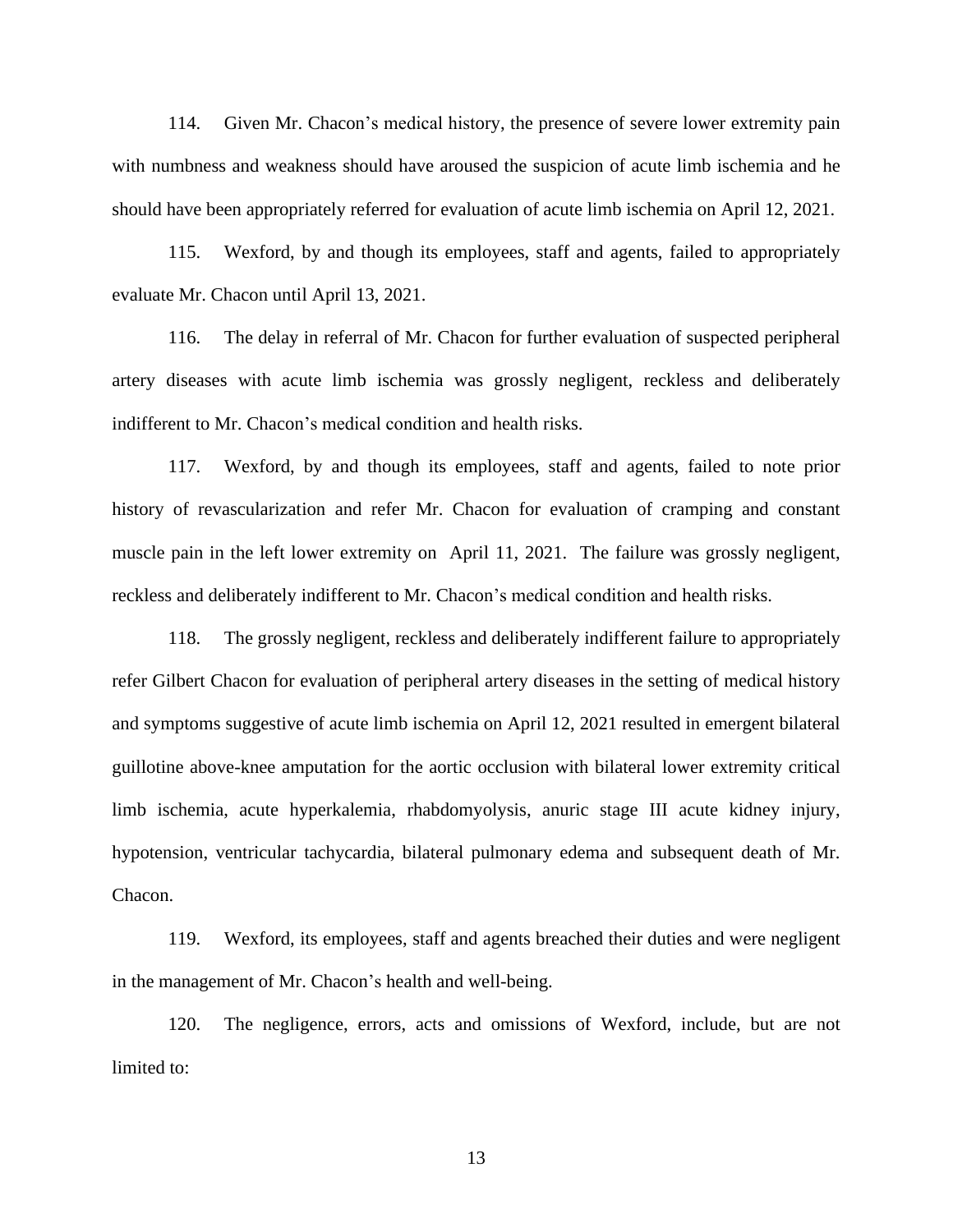114. Given Mr. Chacon's medical history, the presence of severe lower extremity pain with numbness and weakness should have aroused the suspicion of acute limb ischemia and he should have been appropriately referred for evaluation of acute limb ischemia on April 12, 2021.

115. Wexford, by and though its employees, staff and agents, failed to appropriately evaluate Mr. Chacon until April 13, 2021.

116. The delay in referral of Mr. Chacon for further evaluation of suspected peripheral artery diseases with acute limb ischemia was grossly negligent, reckless and deliberately indifferent to Mr. Chacon's medical condition and health risks.

117. Wexford, by and though its employees, staff and agents, failed to note prior history of revascularization and refer Mr. Chacon for evaluation of cramping and constant muscle pain in the left lower extremity on April 11, 2021. The failure was grossly negligent, reckless and deliberately indifferent to Mr. Chacon's medical condition and health risks.

118. The grossly negligent, reckless and deliberately indifferent failure to appropriately refer Gilbert Chacon for evaluation of peripheral artery diseases in the setting of medical history and symptoms suggestive of acute limb ischemia on April 12, 2021 resulted in emergent bilateral guillotine above-knee amputation for the aortic occlusion with bilateral lower extremity critical limb ischemia, acute hyperkalemia, rhabdomyolysis, anuric stage III acute kidney injury, hypotension, ventricular tachycardia, bilateral pulmonary edema and subsequent death of Mr. Chacon.

119. Wexford, its employees, staff and agents breached their duties and were negligent in the management of Mr. Chacon's health and well-being.

120. The negligence, errors, acts and omissions of Wexford, include, but are not limited to: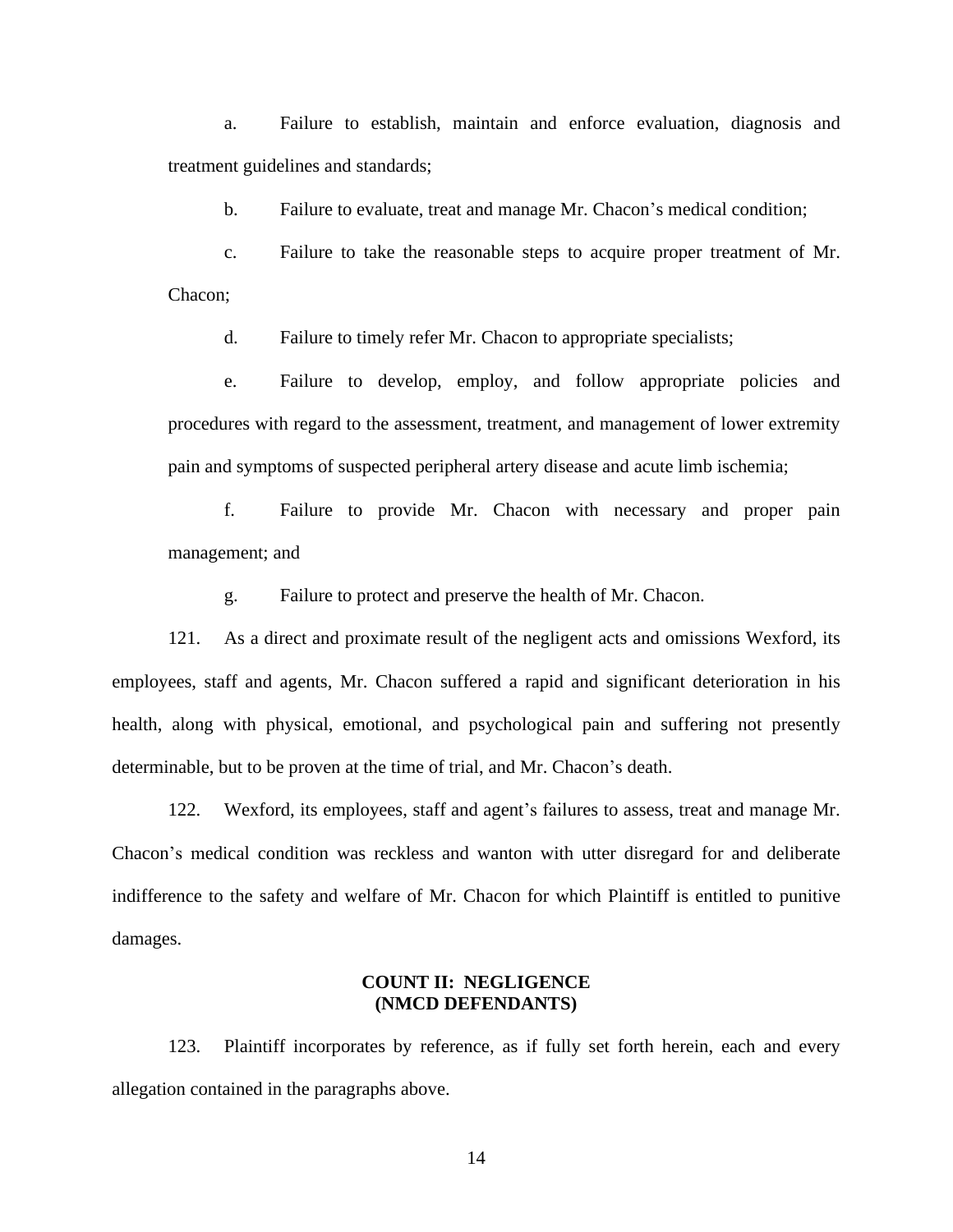a. Failure to establish, maintain and enforce evaluation, diagnosis and treatment guidelines and standards;

b. Failure to evaluate, treat and manage Mr. Chacon's medical condition;

c. Failure to take the reasonable steps to acquire proper treatment of Mr. Chacon;

d. Failure to timely refer Mr. Chacon to appropriate specialists;

e. Failure to develop, employ, and follow appropriate policies and procedures with regard to the assessment, treatment, and management of lower extremity pain and symptoms of suspected peripheral artery disease and acute limb ischemia;

f. Failure to provide Mr. Chacon with necessary and proper pain management; and

g. Failure to protect and preserve the health of Mr. Chacon.

121. As a direct and proximate result of the negligent acts and omissions Wexford, its employees, staff and agents, Mr. Chacon suffered a rapid and significant deterioration in his health, along with physical, emotional, and psychological pain and suffering not presently determinable, but to be proven at the time of trial, and Mr. Chacon's death.

122. Wexford, its employees, staff and agent's failures to assess, treat and manage Mr. Chacon's medical condition was reckless and wanton with utter disregard for and deliberate indifference to the safety and welfare of Mr. Chacon for which Plaintiff is entitled to punitive damages.

#### **COUNT II: NEGLIGENCE (NMCD DEFENDANTS)**

123. Plaintiff incorporates by reference, as if fully set forth herein, each and every allegation contained in the paragraphs above.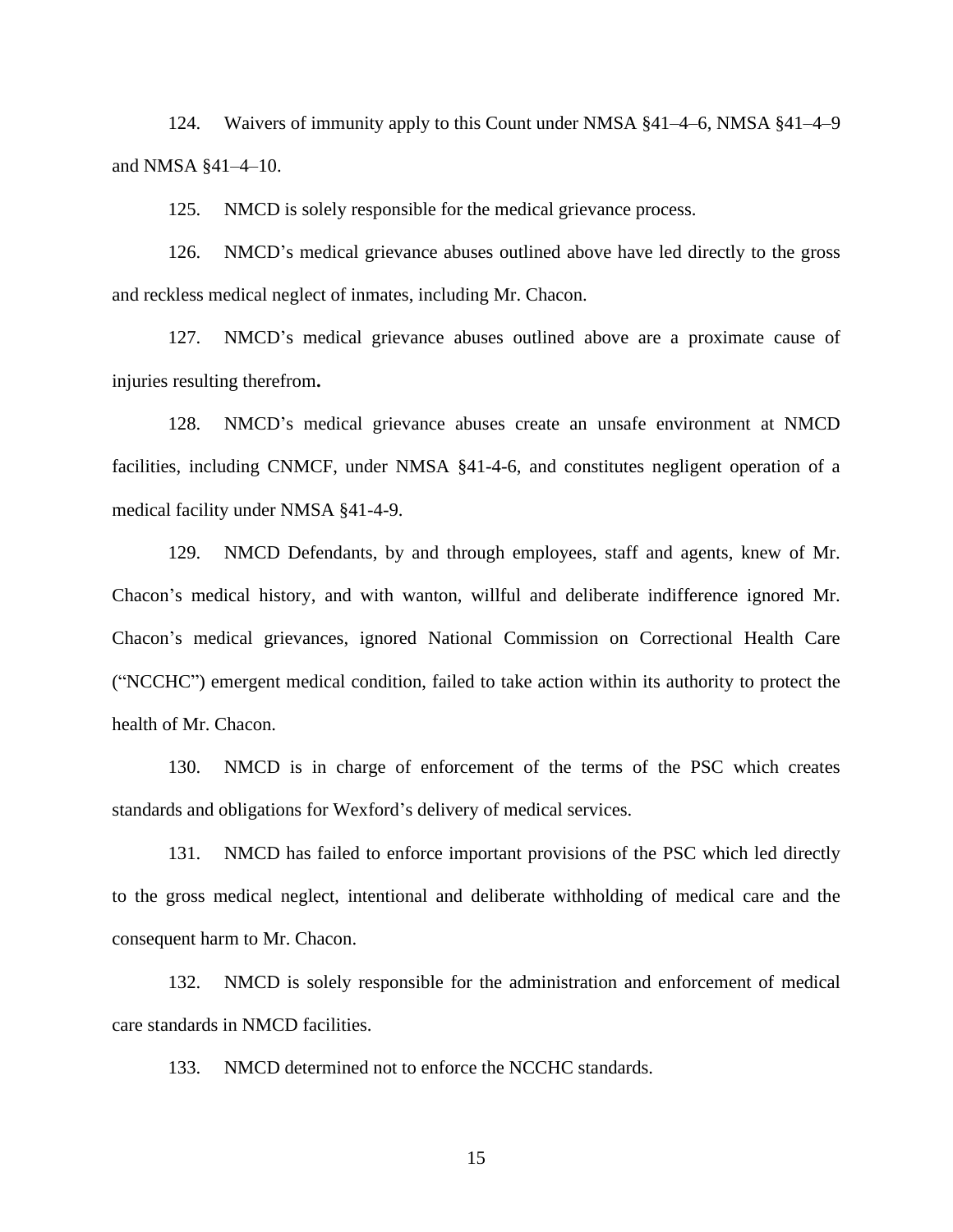124. Waivers of immunity apply to this Count under NMSA §41–4–6, NMSA §41–4–9 and NMSA §41–4–10.

125. NMCD is solely responsible for the medical grievance process.

126. NMCD's medical grievance abuses outlined above have led directly to the gross and reckless medical neglect of inmates, including Mr. Chacon.

127. NMCD's medical grievance abuses outlined above are a proximate cause of injuries resulting therefrom**.**

128. NMCD's medical grievance abuses create an unsafe environment at NMCD facilities, including CNMCF, under NMSA §41-4-6, and constitutes negligent operation of a medical facility under NMSA §41-4-9.

129. NMCD Defendants, by and through employees, staff and agents, knew of Mr. Chacon's medical history, and with wanton, willful and deliberate indifference ignored Mr. Chacon's medical grievances, ignored National Commission on Correctional Health Care ("NCCHC") emergent medical condition, failed to take action within its authority to protect the health of Mr. Chacon.

130. NMCD is in charge of enforcement of the terms of the PSC which creates standards and obligations for Wexford's delivery of medical services.

131. NMCD has failed to enforce important provisions of the PSC which led directly to the gross medical neglect, intentional and deliberate withholding of medical care and the consequent harm to Mr. Chacon.

132. NMCD is solely responsible for the administration and enforcement of medical care standards in NMCD facilities.

133. NMCD determined not to enforce the NCCHC standards.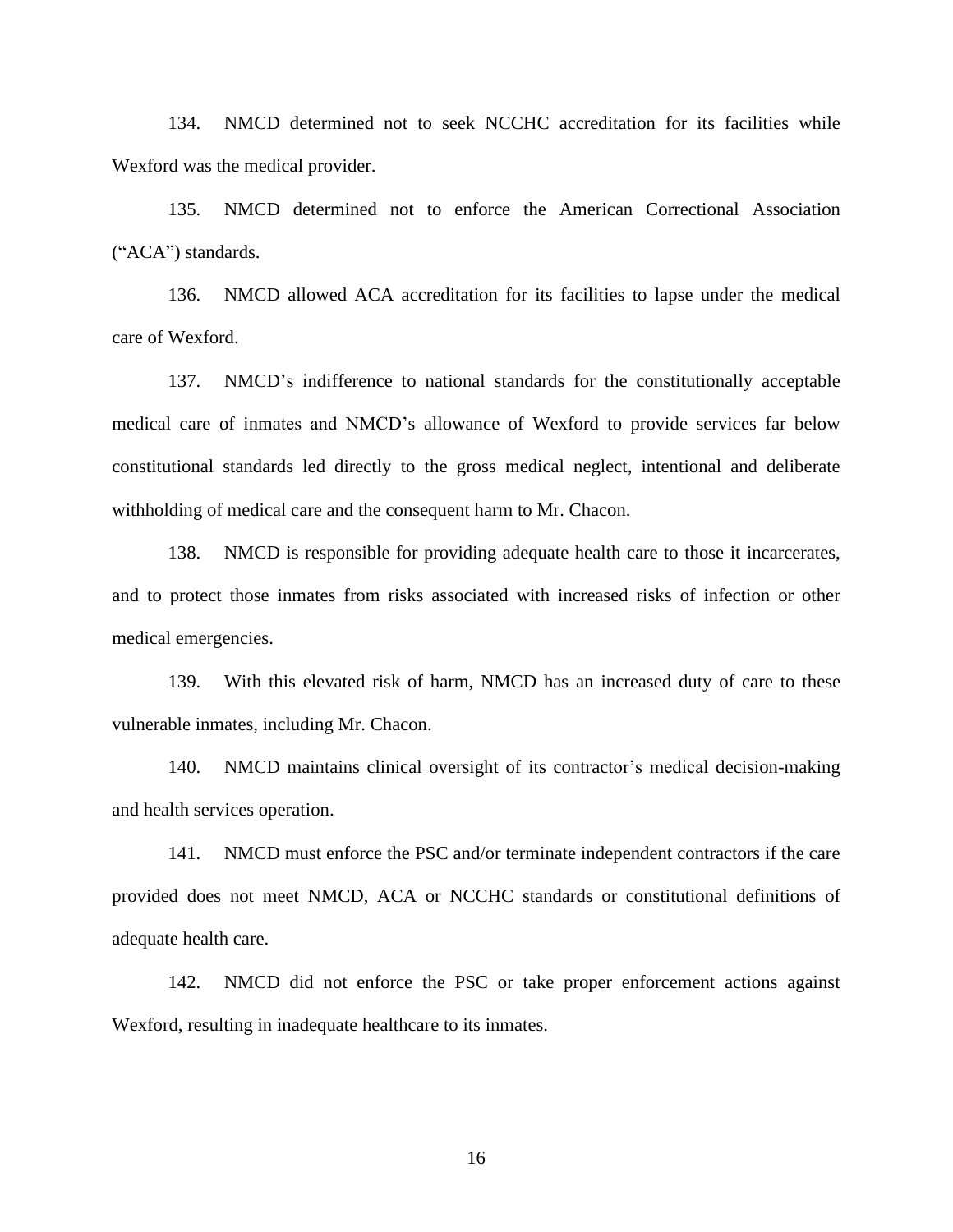134. NMCD determined not to seek NCCHC accreditation for its facilities while Wexford was the medical provider.

135. NMCD determined not to enforce the American Correctional Association ("ACA") standards.

136. NMCD allowed ACA accreditation for its facilities to lapse under the medical care of Wexford.

137. NMCD's indifference to national standards for the constitutionally acceptable medical care of inmates and NMCD's allowance of Wexford to provide services far below constitutional standards led directly to the gross medical neglect, intentional and deliberate withholding of medical care and the consequent harm to Mr. Chacon.

138. NMCD is responsible for providing adequate health care to those it incarcerates, and to protect those inmates from risks associated with increased risks of infection or other medical emergencies.

139. With this elevated risk of harm, NMCD has an increased duty of care to these vulnerable inmates, including Mr. Chacon.

140. NMCD maintains clinical oversight of its contractor's medical decision-making and health services operation.

141. NMCD must enforce the PSC and/or terminate independent contractors if the care provided does not meet NMCD, ACA or NCCHC standards or constitutional definitions of adequate health care.

142. NMCD did not enforce the PSC or take proper enforcement actions against Wexford, resulting in inadequate healthcare to its inmates.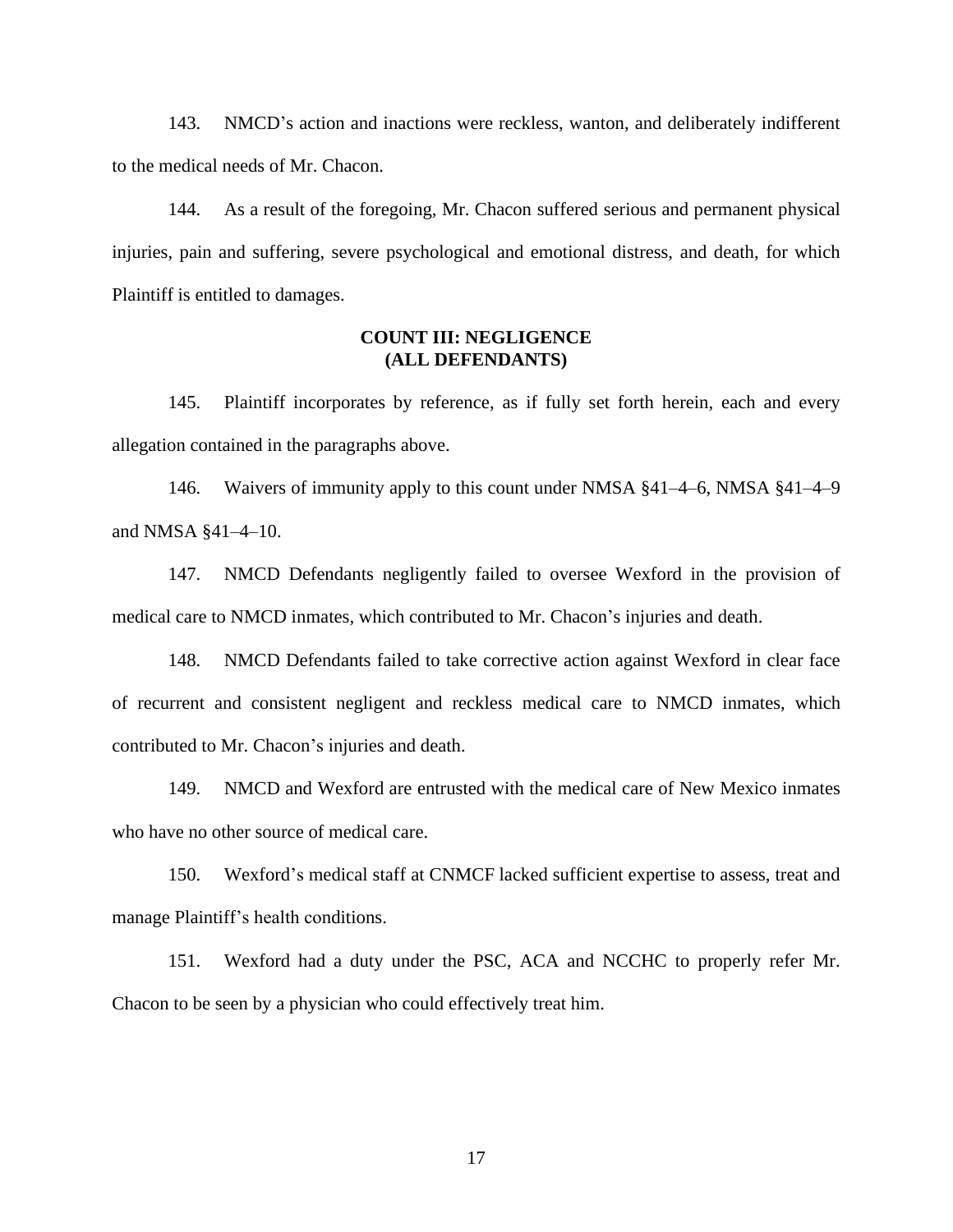143. NMCD's action and inactions were reckless, wanton, and deliberately indifferent to the medical needs of Mr. Chacon.

144. As a result of the foregoing, Mr. Chacon suffered serious and permanent physical injuries, pain and suffering, severe psychological and emotional distress, and death, for which Plaintiff is entitled to damages.

#### **COUNT III: NEGLIGENCE (ALL DEFENDANTS)**

145. Plaintiff incorporates by reference, as if fully set forth herein, each and every allegation contained in the paragraphs above.

146. Waivers of immunity apply to this count under NMSA §41–4–6, NMSA §41–4–9 and NMSA §41–4–10.

147. NMCD Defendants negligently failed to oversee Wexford in the provision of medical care to NMCD inmates, which contributed to Mr. Chacon's injuries and death.

148. NMCD Defendants failed to take corrective action against Wexford in clear face of recurrent and consistent negligent and reckless medical care to NMCD inmates, which contributed to Mr. Chacon's injuries and death.

149. NMCD and Wexford are entrusted with the medical care of New Mexico inmates who have no other source of medical care.

150. Wexford's medical staff at CNMCF lacked sufficient expertise to assess, treat and manage Plaintiff's health conditions.

151. Wexford had a duty under the PSC, ACA and NCCHC to properly refer Mr. Chacon to be seen by a physician who could effectively treat him.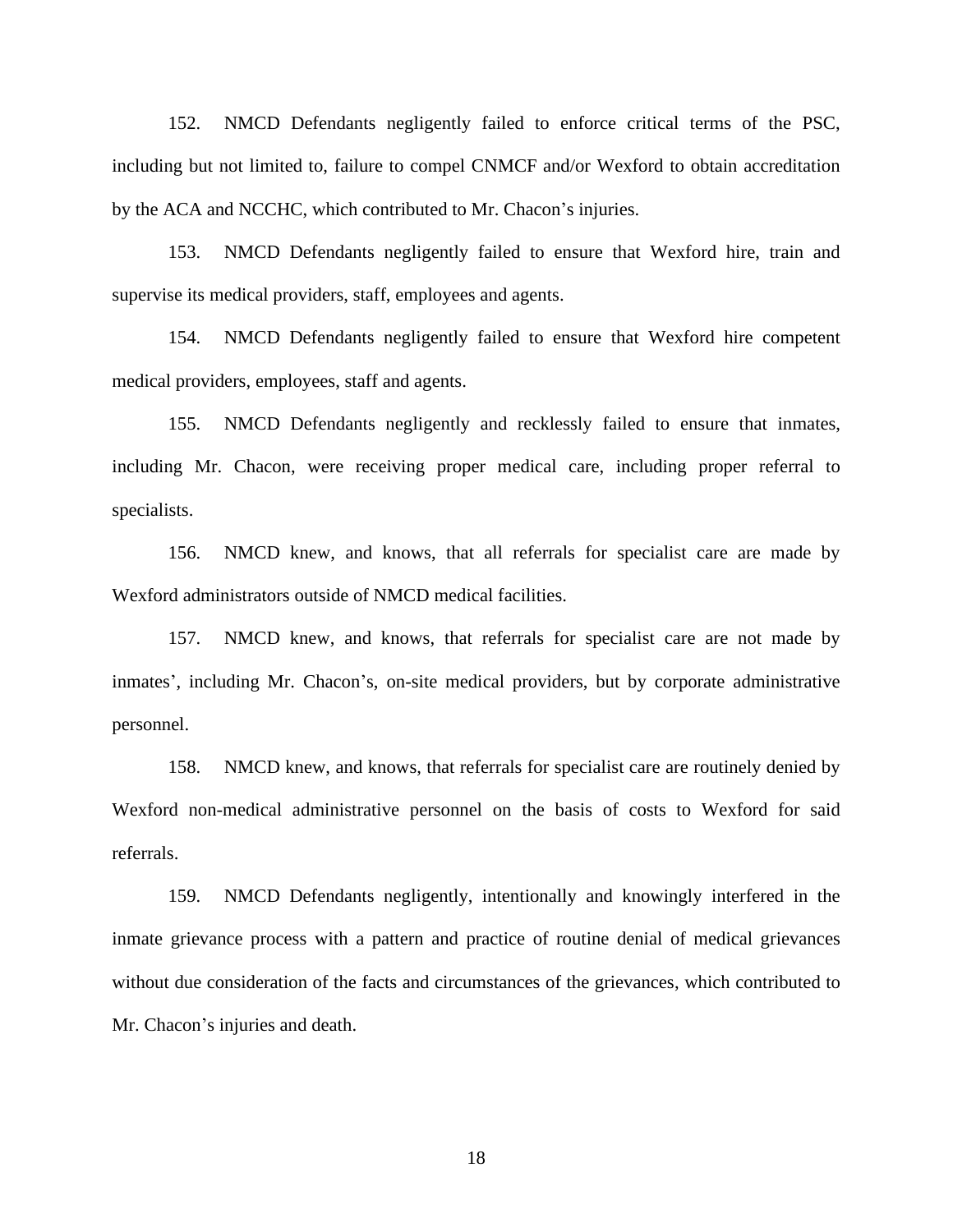152. NMCD Defendants negligently failed to enforce critical terms of the PSC, including but not limited to, failure to compel CNMCF and/or Wexford to obtain accreditation by the ACA and NCCHC, which contributed to Mr. Chacon's injuries.

153. NMCD Defendants negligently failed to ensure that Wexford hire, train and supervise its medical providers, staff, employees and agents.

154. NMCD Defendants negligently failed to ensure that Wexford hire competent medical providers, employees, staff and agents.

155. NMCD Defendants negligently and recklessly failed to ensure that inmates, including Mr. Chacon, were receiving proper medical care, including proper referral to specialists.

156. NMCD knew, and knows, that all referrals for specialist care are made by Wexford administrators outside of NMCD medical facilities.

157. NMCD knew, and knows, that referrals for specialist care are not made by inmates', including Mr. Chacon's, on-site medical providers, but by corporate administrative personnel.

158. NMCD knew, and knows, that referrals for specialist care are routinely denied by Wexford non-medical administrative personnel on the basis of costs to Wexford for said referrals.

159. NMCD Defendants negligently, intentionally and knowingly interfered in the inmate grievance process with a pattern and practice of routine denial of medical grievances without due consideration of the facts and circumstances of the grievances, which contributed to Mr. Chacon's injuries and death.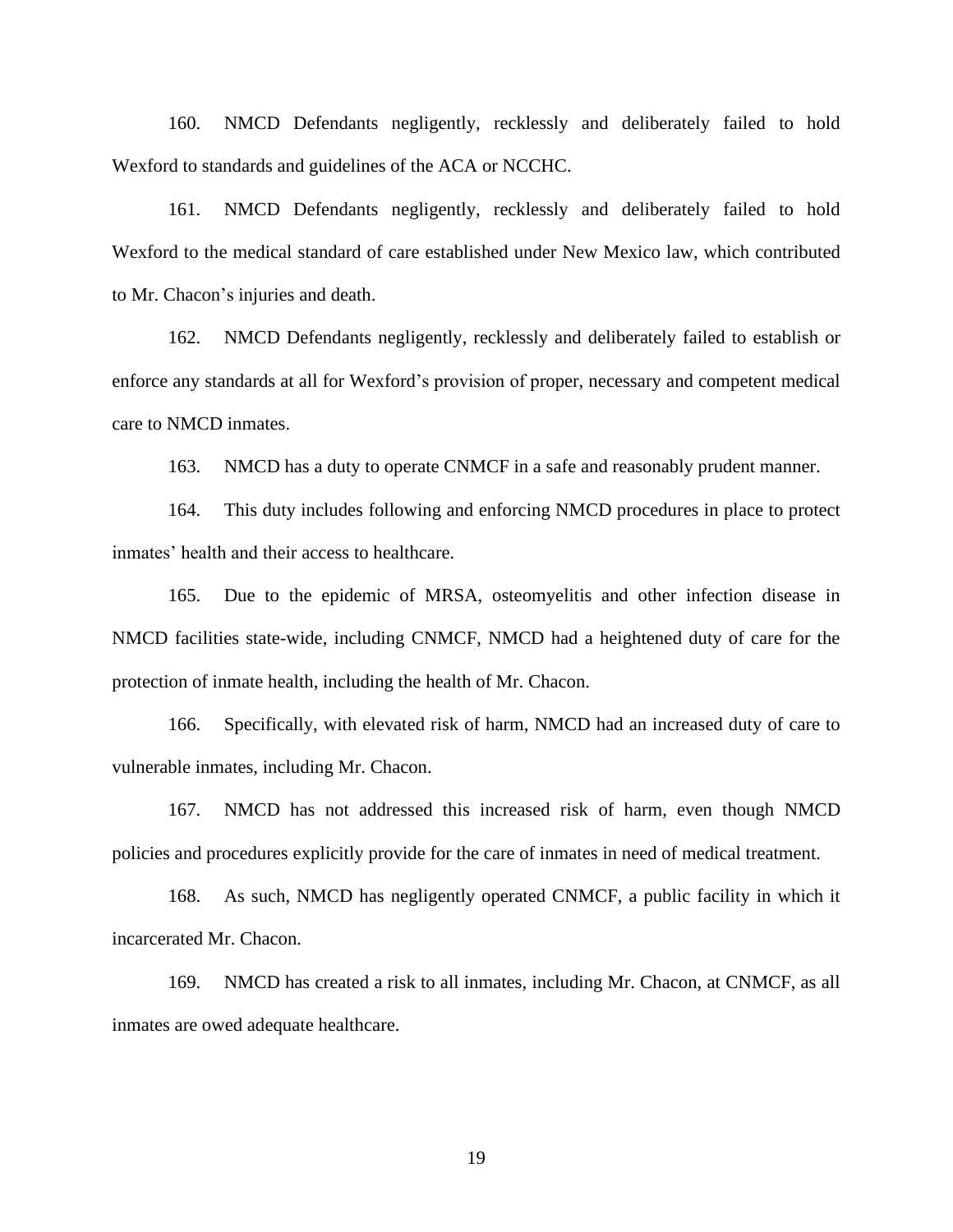160. NMCD Defendants negligently, recklessly and deliberately failed to hold Wexford to standards and guidelines of the ACA or NCCHC.

161. NMCD Defendants negligently, recklessly and deliberately failed to hold Wexford to the medical standard of care established under New Mexico law, which contributed to Mr. Chacon's injuries and death.

162. NMCD Defendants negligently, recklessly and deliberately failed to establish or enforce any standards at all for Wexford's provision of proper, necessary and competent medical care to NMCD inmates.

163. NMCD has a duty to operate CNMCF in a safe and reasonably prudent manner.

164. This duty includes following and enforcing NMCD procedures in place to protect inmates' health and their access to healthcare.

165. Due to the epidemic of MRSA, osteomyelitis and other infection disease in NMCD facilities state-wide, including CNMCF, NMCD had a heightened duty of care for the protection of inmate health, including the health of Mr. Chacon.

166. Specifically, with elevated risk of harm, NMCD had an increased duty of care to vulnerable inmates, including Mr. Chacon.

167. NMCD has not addressed this increased risk of harm, even though NMCD policies and procedures explicitly provide for the care of inmates in need of medical treatment.

168. As such, NMCD has negligently operated CNMCF, a public facility in which it incarcerated Mr. Chacon.

169. NMCD has created a risk to all inmates, including Mr. Chacon, at CNMCF, as all inmates are owed adequate healthcare.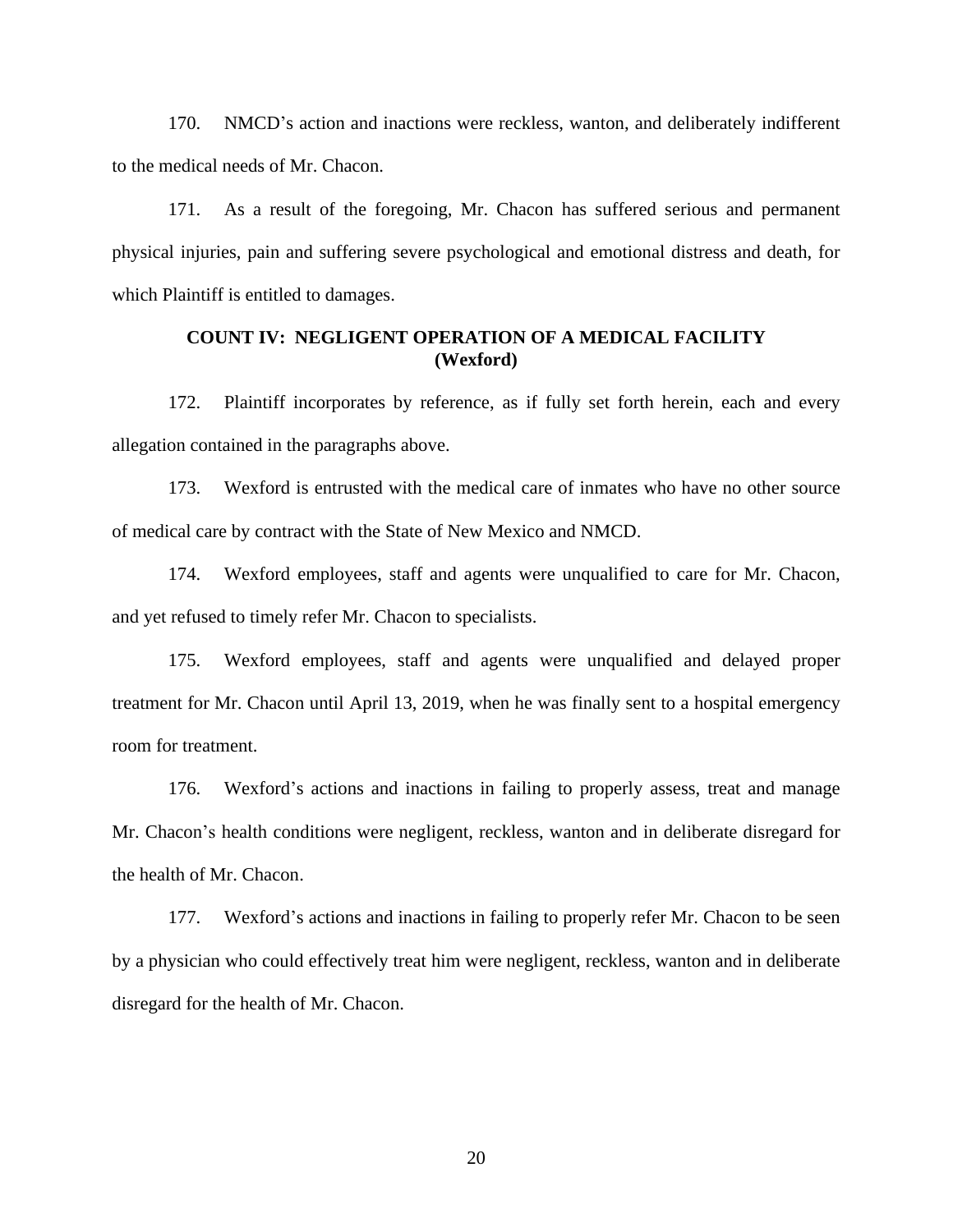170. NMCD's action and inactions were reckless, wanton, and deliberately indifferent to the medical needs of Mr. Chacon.

171. As a result of the foregoing, Mr. Chacon has suffered serious and permanent physical injuries, pain and suffering severe psychological and emotional distress and death, for which Plaintiff is entitled to damages.

# **COUNT IV: NEGLIGENT OPERATION OF A MEDICAL FACILITY (Wexford)**

172. Plaintiff incorporates by reference, as if fully set forth herein, each and every allegation contained in the paragraphs above.

173. Wexford is entrusted with the medical care of inmates who have no other source of medical care by contract with the State of New Mexico and NMCD.

174. Wexford employees, staff and agents were unqualified to care for Mr. Chacon, and yet refused to timely refer Mr. Chacon to specialists.

175. Wexford employees, staff and agents were unqualified and delayed proper treatment for Mr. Chacon until April 13, 2019, when he was finally sent to a hospital emergency room for treatment.

176. Wexford's actions and inactions in failing to properly assess, treat and manage Mr. Chacon's health conditions were negligent, reckless, wanton and in deliberate disregard for the health of Mr. Chacon.

177. Wexford's actions and inactions in failing to properly refer Mr. Chacon to be seen by a physician who could effectively treat him were negligent, reckless, wanton and in deliberate disregard for the health of Mr. Chacon.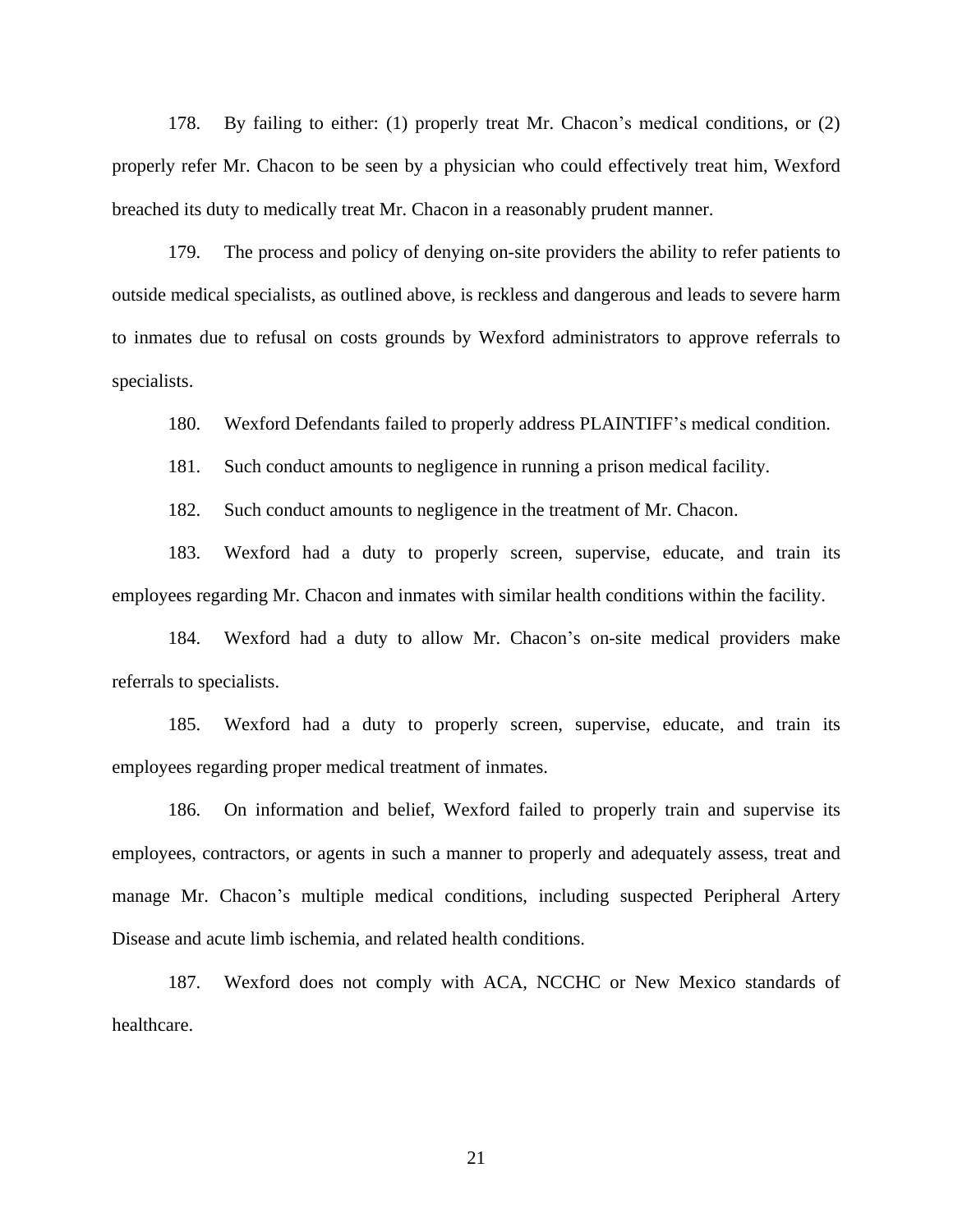178. By failing to either: (1) properly treat Mr. Chacon's medical conditions, or (2) properly refer Mr. Chacon to be seen by a physician who could effectively treat him, Wexford breached its duty to medically treat Mr. Chacon in a reasonably prudent manner.

179. The process and policy of denying on-site providers the ability to refer patients to outside medical specialists, as outlined above, is reckless and dangerous and leads to severe harm to inmates due to refusal on costs grounds by Wexford administrators to approve referrals to specialists.

180. Wexford Defendants failed to properly address PLAINTIFF's medical condition.

181. Such conduct amounts to negligence in running a prison medical facility.

182. Such conduct amounts to negligence in the treatment of Mr. Chacon.

183. Wexford had a duty to properly screen, supervise, educate, and train its employees regarding Mr. Chacon and inmates with similar health conditions within the facility.

184. Wexford had a duty to allow Mr. Chacon's on-site medical providers make referrals to specialists.

185. Wexford had a duty to properly screen, supervise, educate, and train its employees regarding proper medical treatment of inmates.

186. On information and belief, Wexford failed to properly train and supervise its employees, contractors, or agents in such a manner to properly and adequately assess, treat and manage Mr. Chacon's multiple medical conditions, including suspected Peripheral Artery Disease and acute limb ischemia, and related health conditions.

187. Wexford does not comply with ACA, NCCHC or New Mexico standards of healthcare.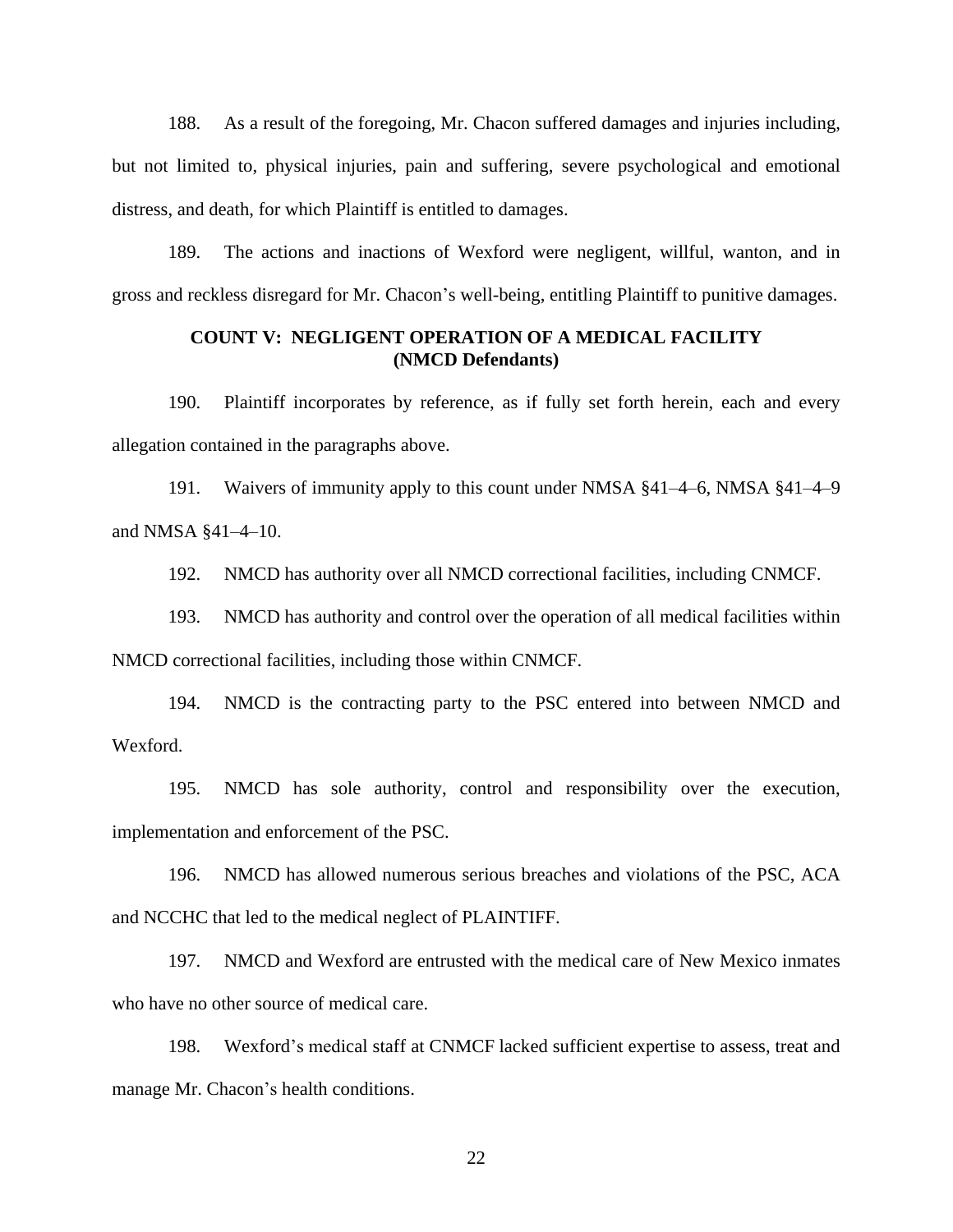188. As a result of the foregoing, Mr. Chacon suffered damages and injuries including, but not limited to, physical injuries, pain and suffering, severe psychological and emotional distress, and death, for which Plaintiff is entitled to damages.

189. The actions and inactions of Wexford were negligent, willful, wanton, and in gross and reckless disregard for Mr. Chacon's well-being, entitling Plaintiff to punitive damages.

## **COUNT V: NEGLIGENT OPERATION OF A MEDICAL FACILITY (NMCD Defendants)**

190. Plaintiff incorporates by reference, as if fully set forth herein, each and every allegation contained in the paragraphs above.

191. Waivers of immunity apply to this count under NMSA §41–4–6, NMSA §41–4–9 and NMSA §41–4–10.

192. NMCD has authority over all NMCD correctional facilities, including CNMCF.

193. NMCD has authority and control over the operation of all medical facilities within NMCD correctional facilities, including those within CNMCF.

194. NMCD is the contracting party to the PSC entered into between NMCD and Wexford.

195. NMCD has sole authority, control and responsibility over the execution, implementation and enforcement of the PSC.

196. NMCD has allowed numerous serious breaches and violations of the PSC, ACA and NCCHC that led to the medical neglect of PLAINTIFF.

197. NMCD and Wexford are entrusted with the medical care of New Mexico inmates who have no other source of medical care.

198. Wexford's medical staff at CNMCF lacked sufficient expertise to assess, treat and manage Mr. Chacon's health conditions.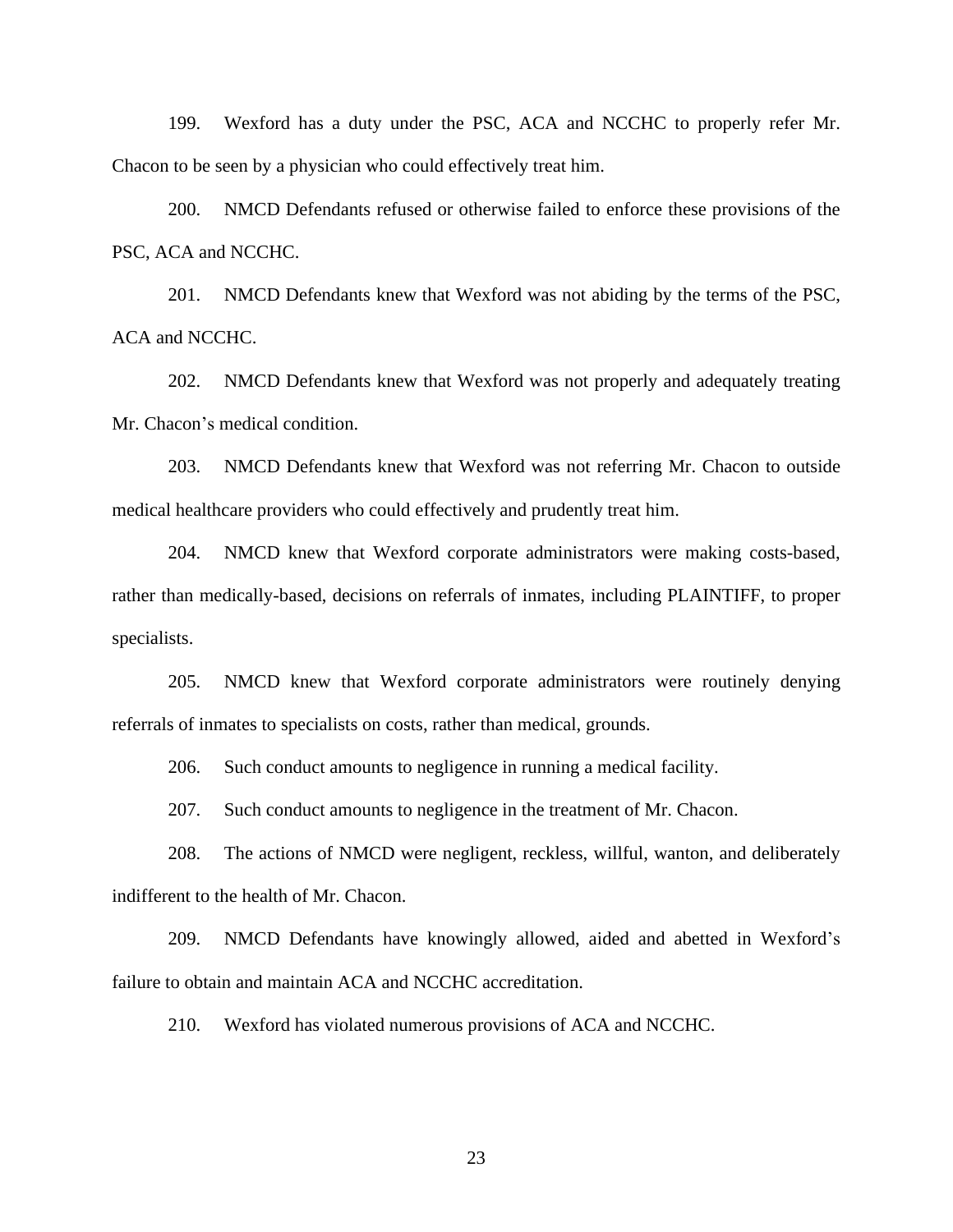199. Wexford has a duty under the PSC, ACA and NCCHC to properly refer Mr. Chacon to be seen by a physician who could effectively treat him.

200. NMCD Defendants refused or otherwise failed to enforce these provisions of the PSC, ACA and NCCHC.

201. NMCD Defendants knew that Wexford was not abiding by the terms of the PSC, ACA and NCCHC.

202. NMCD Defendants knew that Wexford was not properly and adequately treating Mr. Chacon's medical condition.

203. NMCD Defendants knew that Wexford was not referring Mr. Chacon to outside medical healthcare providers who could effectively and prudently treat him.

204. NMCD knew that Wexford corporate administrators were making costs-based, rather than medically-based, decisions on referrals of inmates, including PLAINTIFF, to proper specialists.

205. NMCD knew that Wexford corporate administrators were routinely denying referrals of inmates to specialists on costs, rather than medical, grounds.

206. Such conduct amounts to negligence in running a medical facility.

207. Such conduct amounts to negligence in the treatment of Mr. Chacon.

208. The actions of NMCD were negligent, reckless, willful, wanton, and deliberately indifferent to the health of Mr. Chacon.

209. NMCD Defendants have knowingly allowed, aided and abetted in Wexford's failure to obtain and maintain ACA and NCCHC accreditation.

210. Wexford has violated numerous provisions of ACA and NCCHC.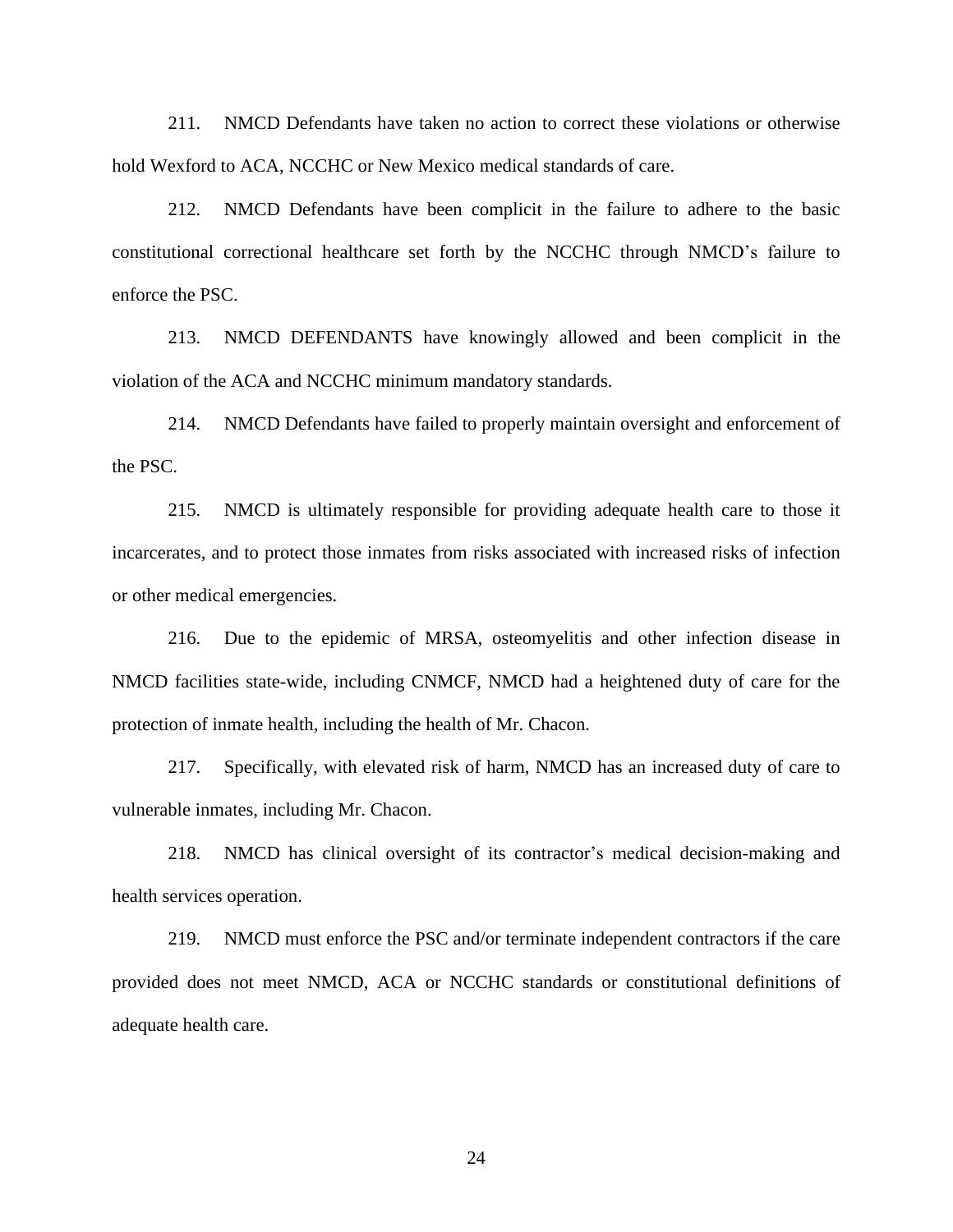211. NMCD Defendants have taken no action to correct these violations or otherwise hold Wexford to ACA, NCCHC or New Mexico medical standards of care.

212. NMCD Defendants have been complicit in the failure to adhere to the basic constitutional correctional healthcare set forth by the NCCHC through NMCD's failure to enforce the PSC.

213. NMCD DEFENDANTS have knowingly allowed and been complicit in the violation of the ACA and NCCHC minimum mandatory standards.

214. NMCD Defendants have failed to properly maintain oversight and enforcement of the PSC.

215. NMCD is ultimately responsible for providing adequate health care to those it incarcerates, and to protect those inmates from risks associated with increased risks of infection or other medical emergencies.

216. Due to the epidemic of MRSA, osteomyelitis and other infection disease in NMCD facilities state-wide, including CNMCF, NMCD had a heightened duty of care for the protection of inmate health, including the health of Mr. Chacon.

217. Specifically, with elevated risk of harm, NMCD has an increased duty of care to vulnerable inmates, including Mr. Chacon.

218. NMCD has clinical oversight of its contractor's medical decision-making and health services operation.

219. NMCD must enforce the PSC and/or terminate independent contractors if the care provided does not meet NMCD, ACA or NCCHC standards or constitutional definitions of adequate health care.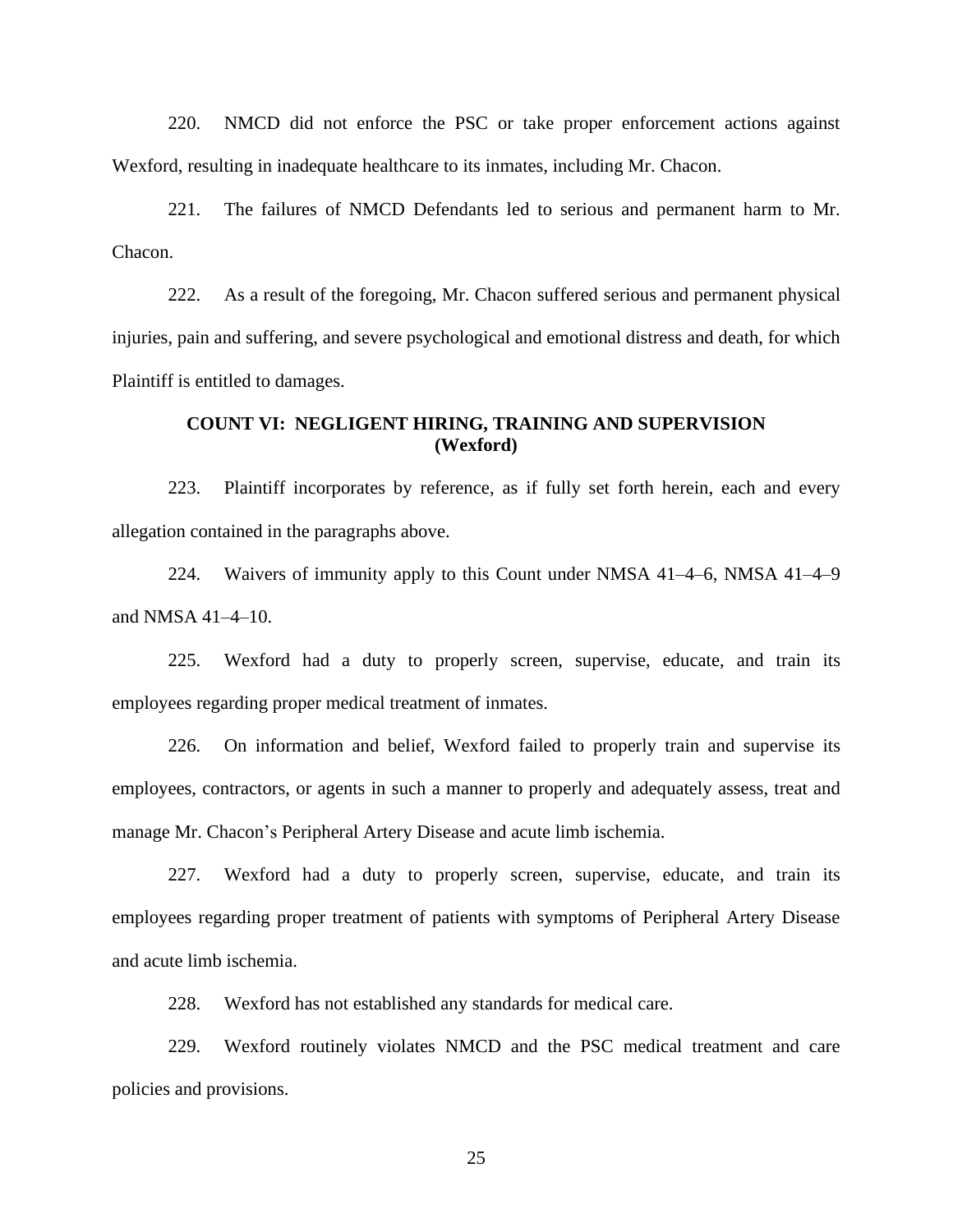220. NMCD did not enforce the PSC or take proper enforcement actions against Wexford, resulting in inadequate healthcare to its inmates, including Mr. Chacon.

221. The failures of NMCD Defendants led to serious and permanent harm to Mr. Chacon.

222. As a result of the foregoing, Mr. Chacon suffered serious and permanent physical injuries, pain and suffering, and severe psychological and emotional distress and death, for which Plaintiff is entitled to damages.

## **COUNT VI: NEGLIGENT HIRING, TRAINING AND SUPERVISION (Wexford)**

223. Plaintiff incorporates by reference, as if fully set forth herein, each and every allegation contained in the paragraphs above.

224. Waivers of immunity apply to this Count under NMSA 41–4–6, NMSA 41–4–9 and NMSA 41–4–10.

225. Wexford had a duty to properly screen, supervise, educate, and train its employees regarding proper medical treatment of inmates.

226. On information and belief, Wexford failed to properly train and supervise its employees, contractors, or agents in such a manner to properly and adequately assess, treat and manage Mr. Chacon's Peripheral Artery Disease and acute limb ischemia.

227. Wexford had a duty to properly screen, supervise, educate, and train its employees regarding proper treatment of patients with symptoms of Peripheral Artery Disease and acute limb ischemia.

228. Wexford has not established any standards for medical care.

229. Wexford routinely violates NMCD and the PSC medical treatment and care policies and provisions.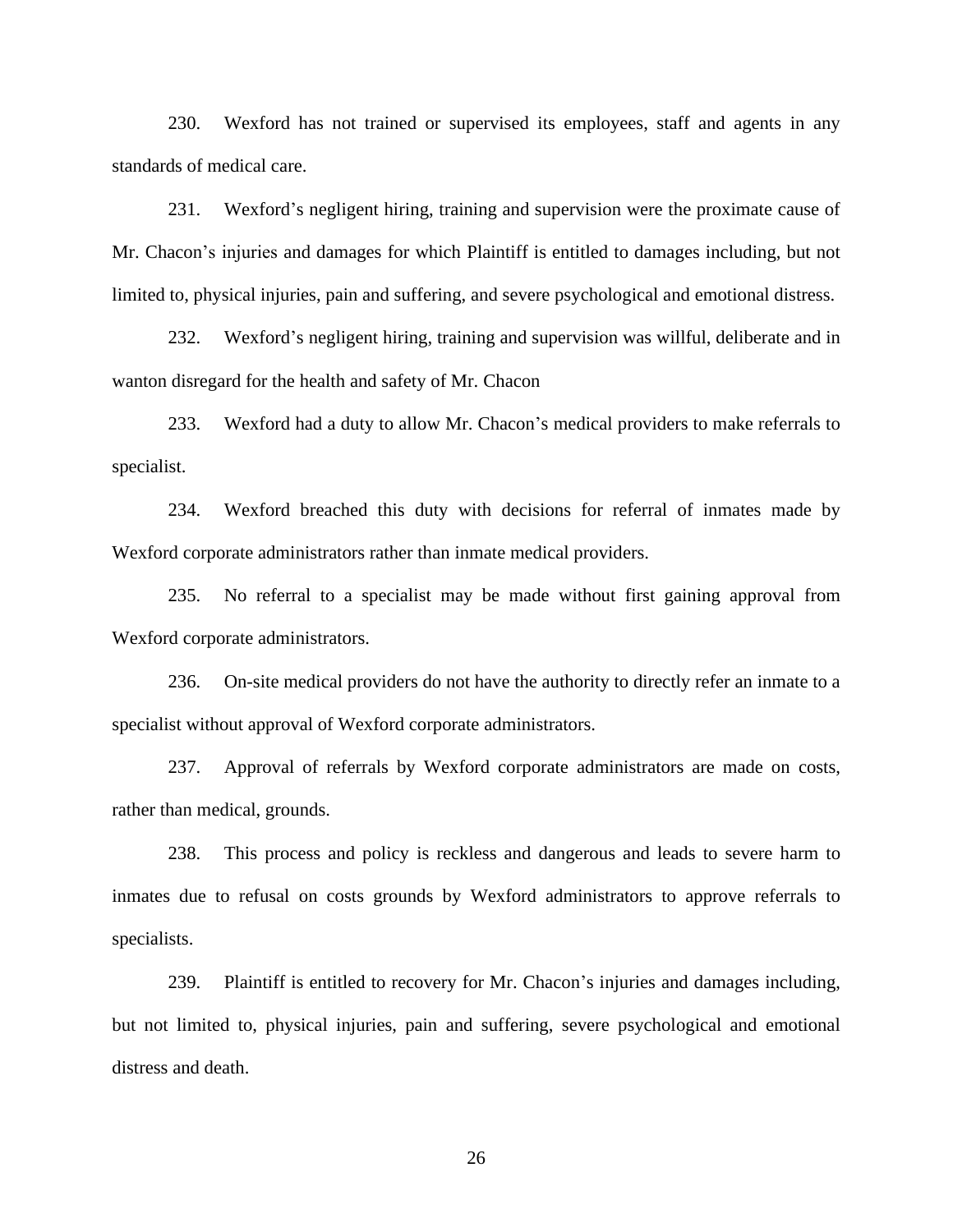230. Wexford has not trained or supervised its employees, staff and agents in any standards of medical care.

231. Wexford's negligent hiring, training and supervision were the proximate cause of Mr. Chacon's injuries and damages for which Plaintiff is entitled to damages including, but not limited to, physical injuries, pain and suffering, and severe psychological and emotional distress.

232. Wexford's negligent hiring, training and supervision was willful, deliberate and in wanton disregard for the health and safety of Mr. Chacon

233. Wexford had a duty to allow Mr. Chacon's medical providers to make referrals to specialist.

234. Wexford breached this duty with decisions for referral of inmates made by Wexford corporate administrators rather than inmate medical providers.

235. No referral to a specialist may be made without first gaining approval from Wexford corporate administrators.

236. On-site medical providers do not have the authority to directly refer an inmate to a specialist without approval of Wexford corporate administrators.

237. Approval of referrals by Wexford corporate administrators are made on costs, rather than medical, grounds.

238. This process and policy is reckless and dangerous and leads to severe harm to inmates due to refusal on costs grounds by Wexford administrators to approve referrals to specialists.

239. Plaintiff is entitled to recovery for Mr. Chacon's injuries and damages including, but not limited to, physical injuries, pain and suffering, severe psychological and emotional distress and death.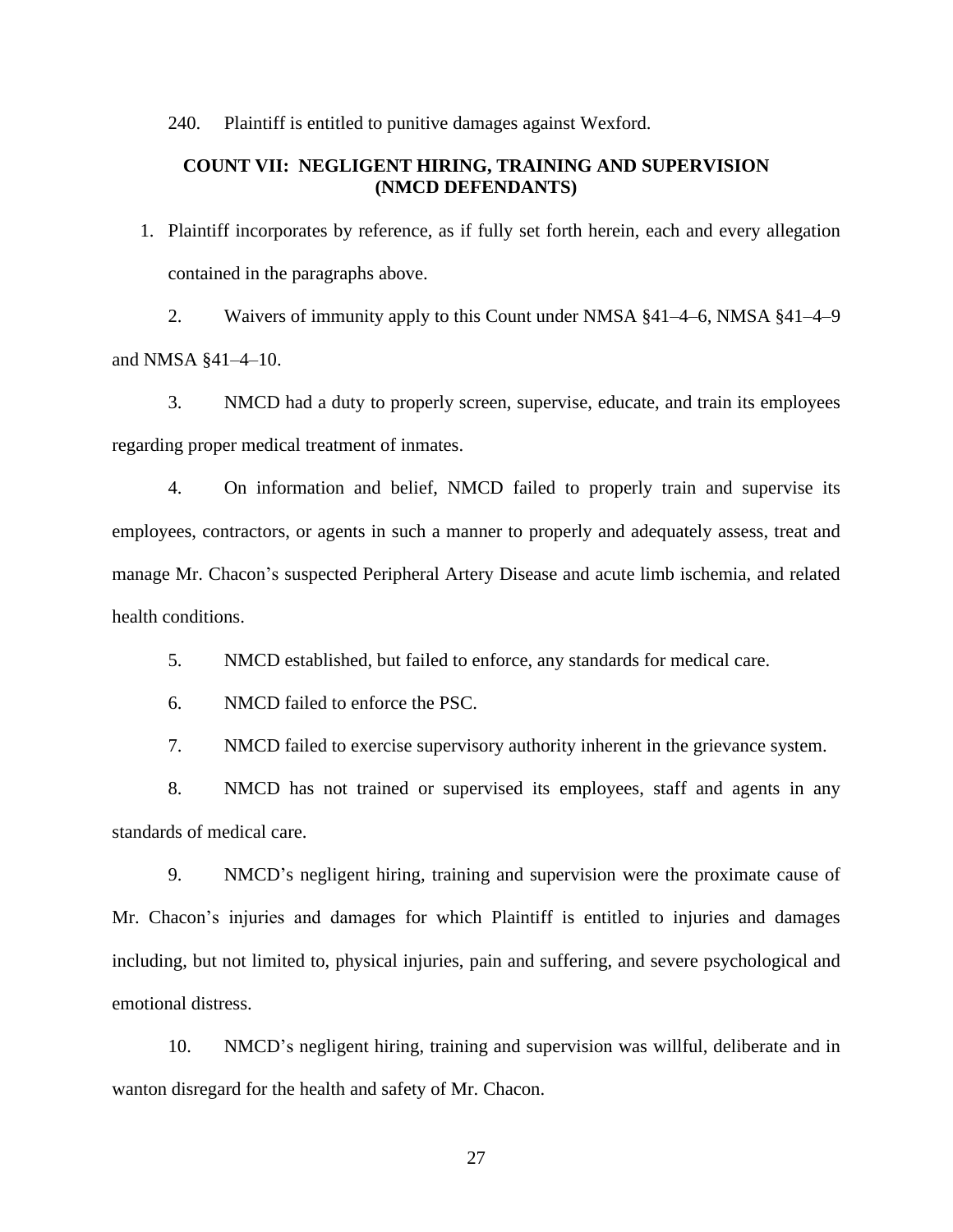240. Plaintiff is entitled to punitive damages against Wexford.

## **COUNT VII: NEGLIGENT HIRING, TRAINING AND SUPERVISION (NMCD DEFENDANTS)**

1. Plaintiff incorporates by reference, as if fully set forth herein, each and every allegation contained in the paragraphs above.

2. Waivers of immunity apply to this Count under NMSA §41–4–6, NMSA §41–4–9 and NMSA §41–4–10.

3. NMCD had a duty to properly screen, supervise, educate, and train its employees regarding proper medical treatment of inmates.

4. On information and belief, NMCD failed to properly train and supervise its employees, contractors, or agents in such a manner to properly and adequately assess, treat and manage Mr. Chacon's suspected Peripheral Artery Disease and acute limb ischemia, and related health conditions.

5. NMCD established, but failed to enforce, any standards for medical care.

6. NMCD failed to enforce the PSC.

7. NMCD failed to exercise supervisory authority inherent in the grievance system.

8. NMCD has not trained or supervised its employees, staff and agents in any standards of medical care.

9. NMCD's negligent hiring, training and supervision were the proximate cause of Mr. Chacon's injuries and damages for which Plaintiff is entitled to injuries and damages including, but not limited to, physical injuries, pain and suffering, and severe psychological and emotional distress.

10. NMCD's negligent hiring, training and supervision was willful, deliberate and in wanton disregard for the health and safety of Mr. Chacon.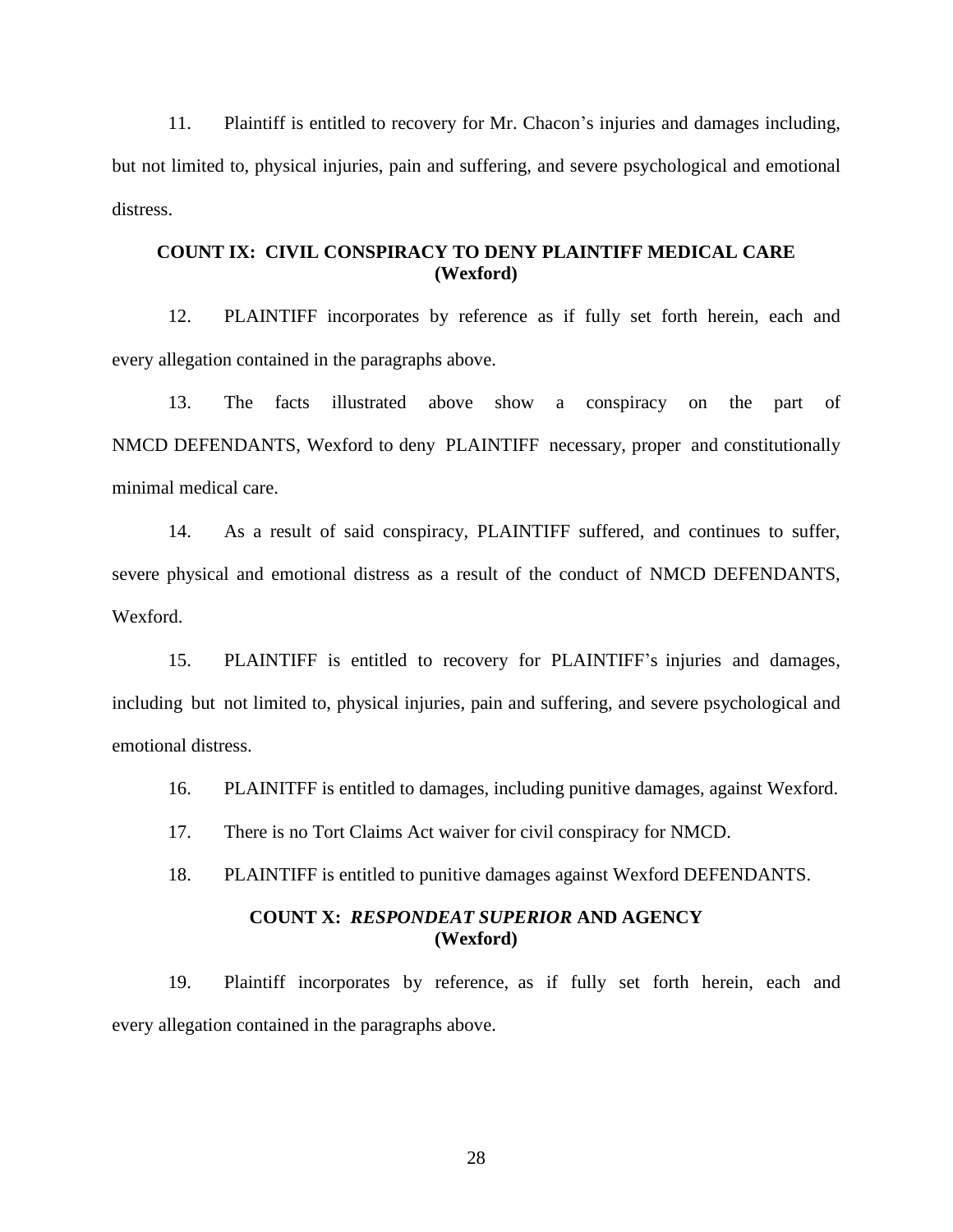11. Plaintiff is entitled to recovery for Mr. Chacon's injuries and damages including, but not limited to, physical injuries, pain and suffering, and severe psychological and emotional distress.

# **COUNT IX: CIVIL CONSPIRACY TO DENY PLAINTIFF MEDICAL CARE (Wexford)**

12. PLAINTIFF incorporates by reference as if fully set forth herein, each and every allegation contained in the paragraphs above.

13. The facts illustrated above show a conspiracy on the part of NMCD DEFENDANTS, Wexford to deny PLAINTIFF necessary, proper and constitutionally minimal medical care.

14. As a result of said conspiracy, PLAINTIFF suffered, and continues to suffer, severe physical and emotional distress as a result of the conduct of NMCD DEFENDANTS, Wexford.

15. PLAINTIFF is entitled to recovery for PLAINTIFF's injuries and damages, including but not limited to, physical injuries, pain and suffering, and severe psychological and emotional distress.

16. PLAINITFF is entitled to damages, including punitive damages, against Wexford.

17. There is no Tort Claims Act waiver for civil conspiracy for NMCD.

18. PLAINTIFF is entitled to punitive damages against Wexford DEFENDANTS.

# **COUNT X:** *RESPONDEAT SUPERIOR* **AND AGENCY (Wexford)**

19. Plaintiff incorporates by reference, as if fully set forth herein, each and every allegation contained in the paragraphs above.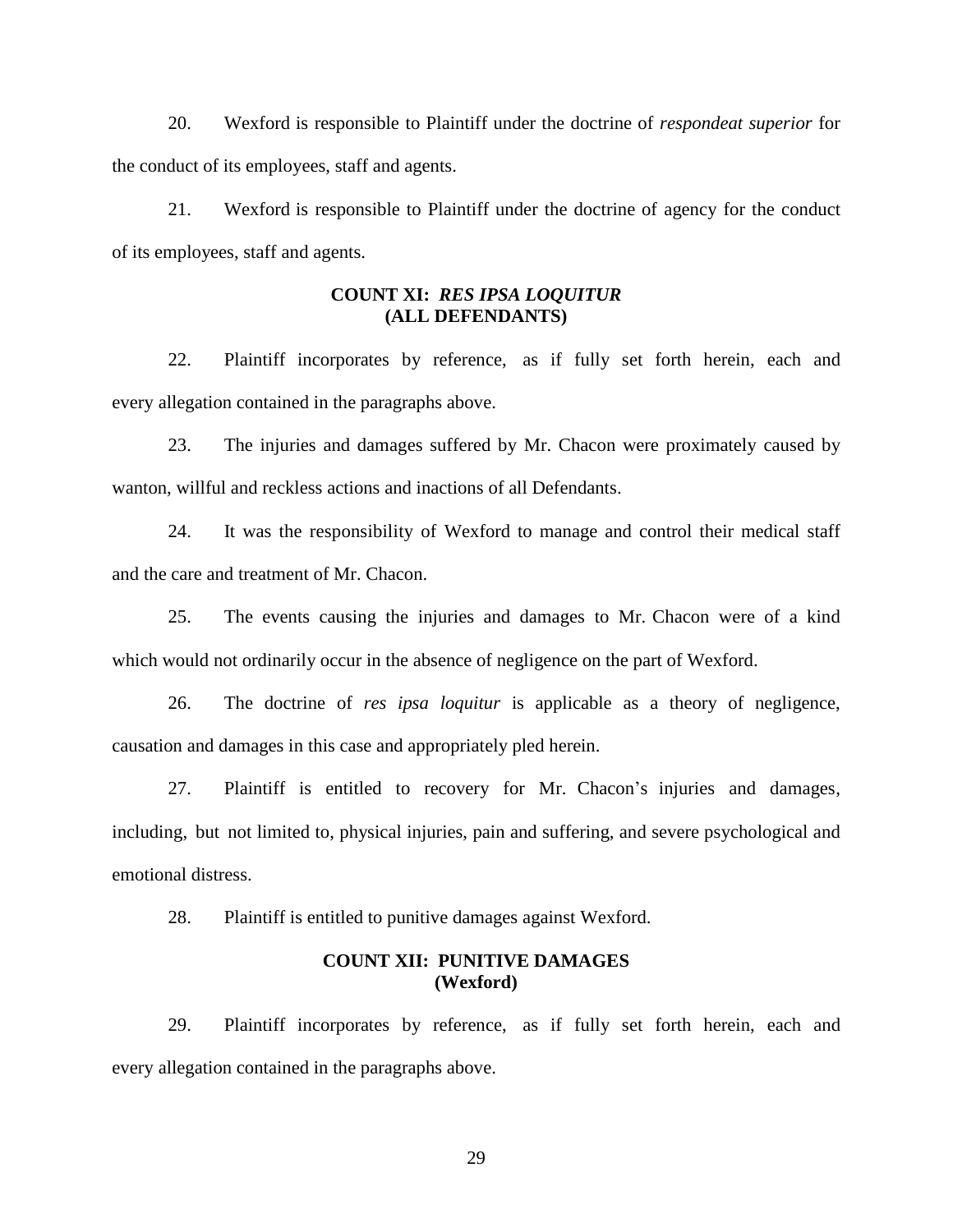20. Wexford is responsible to Plaintiff under the doctrine of *respondeat superior* for the conduct of its employees, staff and agents.

21. Wexford is responsible to Plaintiff under the doctrine of agency for the conduct of its employees, staff and agents.

# **COUNT XI:** *RES IPSA LOQUITUR* **(ALL DEFENDANTS)**

22. Plaintiff incorporates by reference, as if fully set forth herein, each and every allegation contained in the paragraphs above.

23. The injuries and damages suffered by Mr. Chacon were proximately caused by wanton, willful and reckless actions and inactions of all Defendants.

24. It was the responsibility of Wexford to manage and control their medical staff and the care and treatment of Mr. Chacon.

25. The events causing the injuries and damages to Mr. Chacon were of a kind which would not ordinarily occur in the absence of negligence on the part of Wexford.

26. The doctrine of *res ipsa loquitur* is applicable as a theory of negligence, causation and damages in this case and appropriately pled herein.

27. Plaintiff is entitled to recovery for Mr. Chacon's injuries and damages, including, but not limited to, physical injuries, pain and suffering, and severe psychological and emotional distress.

28. Plaintiff is entitled to punitive damages against Wexford.

## **COUNT XII: PUNITIVE DAMAGES (Wexford)**

29. Plaintiff incorporates by reference, as if fully set forth herein, each and every allegation contained in the paragraphs above.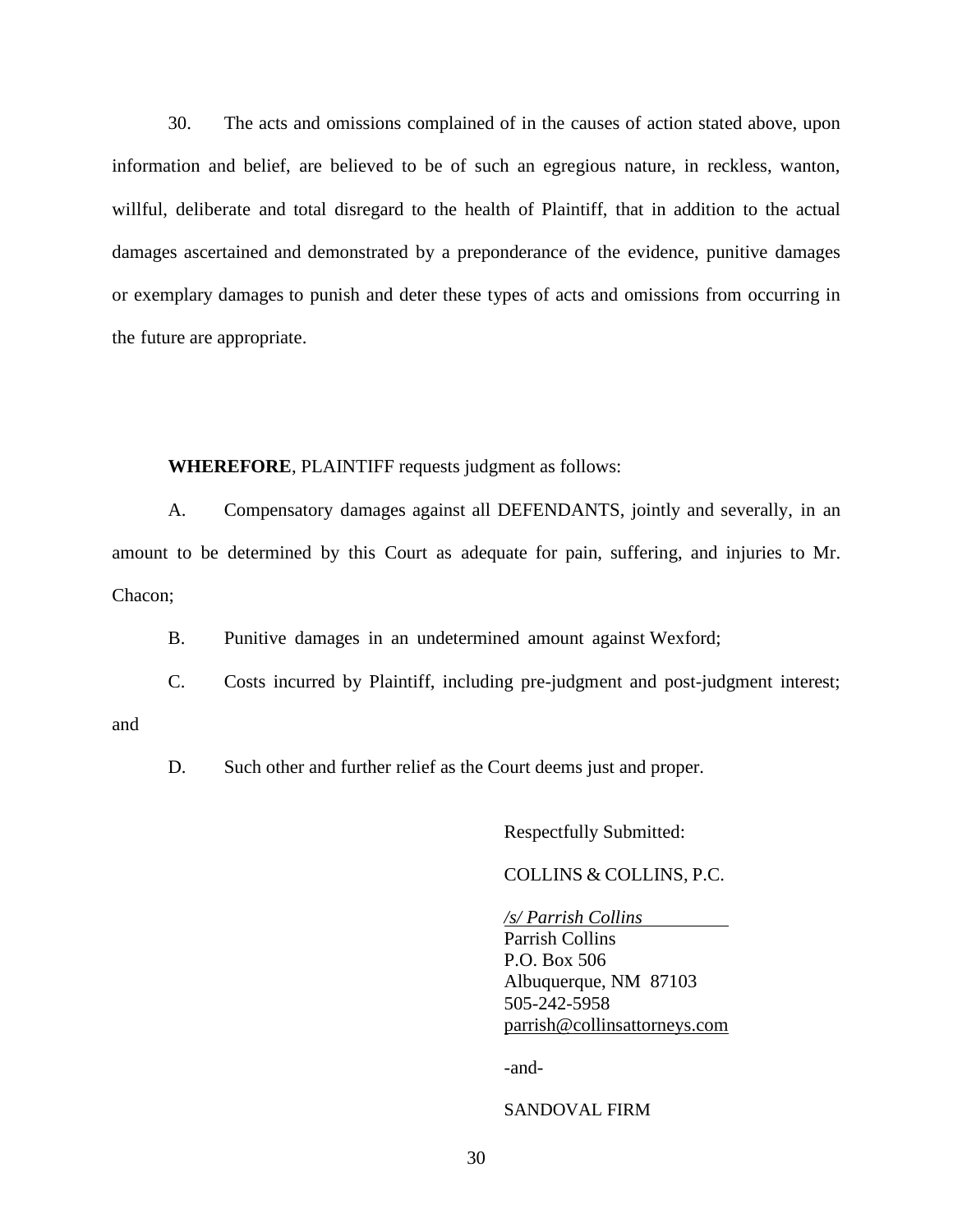30. The acts and omissions complained of in the causes of action stated above, upon information and belief, are believed to be of such an egregious nature, in reckless, wanton, willful, deliberate and total disregard to the health of Plaintiff, that in addition to the actual damages ascertained and demonstrated by a preponderance of the evidence, punitive damages or exemplary damages to punish and deter these types of acts and omissions from occurring in the future are appropriate.

#### **WHEREFORE**, PLAINTIFF requests judgment as follows:

A. Compensatory damages against all DEFENDANTS, jointly and severally, in an amount to be determined by this Court as adequate for pain, suffering, and injuries to Mr. Chacon;

B. Punitive damages in an undetermined amount against Wexford;

C. Costs incurred by Plaintiff, including pre-judgment and post-judgment interest;

and

D. Such other and further relief as the Court deems just and proper.

Respectfully Submitted:

COLLINS & COLLINS, P.C.

*/s/ Parrish Collins* Parrish Collins P.O. Box 506 Albuquerque, NM 87103 505-242-5958 [parrish@collinsattorneys.com](mailto:parrish@collinsattorneys.com)

-and-

SANDOVAL FIRM